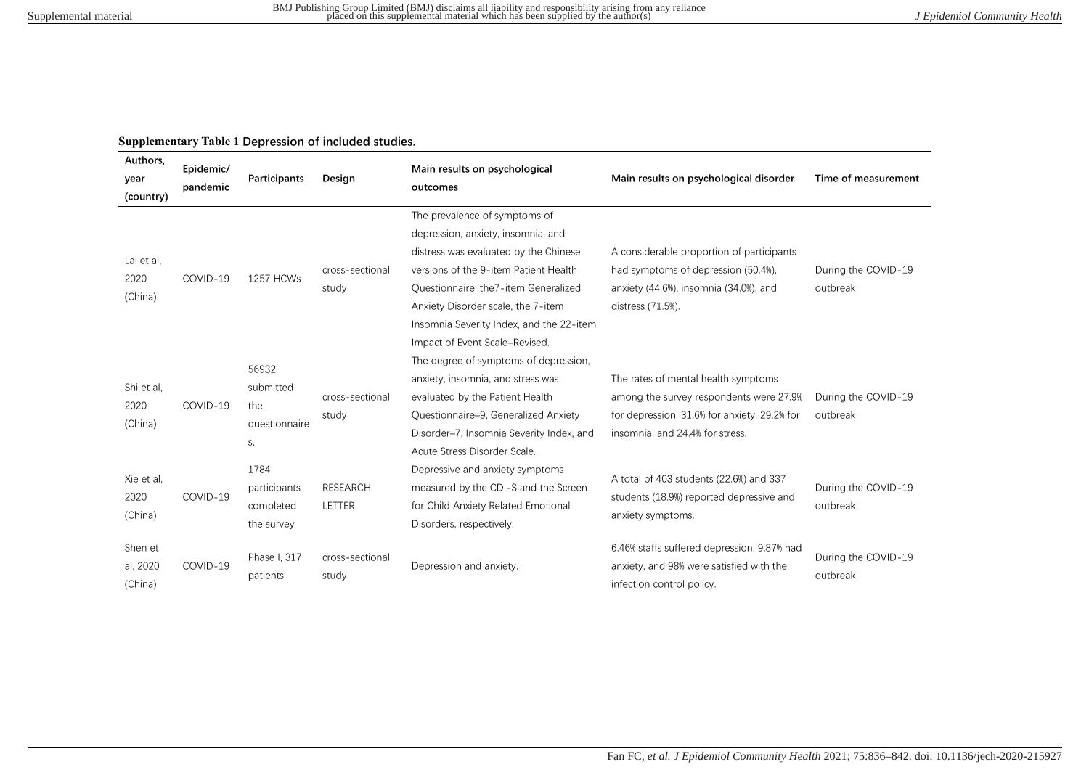## **Supplementary Table 1 Depression of included studies.**

| Authors,<br>year<br>(country)  | Epidemic/<br>pandemic | <b>Participants</b>                              | Design                    | Main results on psychological<br>outcomes                                                                                                                                                                                                                                                                          | Main results on psychological disorder                                                                                                                            | Time of measurement             |
|--------------------------------|-----------------------|--------------------------------------------------|---------------------------|--------------------------------------------------------------------------------------------------------------------------------------------------------------------------------------------------------------------------------------------------------------------------------------------------------------------|-------------------------------------------------------------------------------------------------------------------------------------------------------------------|---------------------------------|
| Lai et al,<br>2020<br>(China)  | COVID-19              | <b>1257 HCWs</b>                                 | cross-sectional<br>study  | The prevalence of symptoms of<br>depression, anxiety, insomnia, and<br>distress was evaluated by the Chinese<br>versions of the 9-item Patient Health<br>Ouestionnaire, the 7-item Generalized<br>Anxiety Disorder scale, the 7-item<br>Insomnia Severity Index, and the 22-item<br>Impact of Event Scale–Revised. | A considerable proportion of participants<br>had symptoms of depression (50.4%),<br>anxiety (44.6%), insomnia (34.0%), and<br>distress (71.5%).                   | During the COVID-19<br>outbreak |
| Shi et al,<br>2020<br>(China)  | COVID-19              | 56932<br>submitted<br>the<br>questionnaire<br>S, | cross-sectional<br>study  | The degree of symptoms of depression,<br>anxiety, insomnia, and stress was<br>evaluated by the Patient Health<br>Ouestionnaire-9, Generalized Anxiety<br>Disorder-7, Insomnia Severity Index, and<br>Acute Stress Disorder Scale.                                                                                  | The rates of mental health symptoms<br>among the survey respondents were 27.9%<br>for depression, 31.6% for anxiety, 29.2% for<br>insomnia, and 24.4% for stress. | During the COVID-19<br>outbreak |
| Xie et al.<br>2020<br>(China)  | COVID-19              | 1784<br>participants<br>completed<br>the survey  | <b>RESEARCH</b><br>LETTER | Depressive and anxiety symptoms<br>measured by the CDI-S and the Screen<br>for Child Anxiety Related Emotional<br>Disorders, respectively.                                                                                                                                                                         | A total of 403 students (22.6%) and 337<br>students (18.9%) reported depressive and<br>anxiety symptoms.                                                          | During the COVID-19<br>outbreak |
| Shen et<br>al, 2020<br>(China) | COVID-19              | Phase I, 317<br>patients                         | cross-sectional<br>study  | Depression and anxiety.                                                                                                                                                                                                                                                                                            | 6.46% staffs suffered depression, 9.87% had<br>anxiety, and 98% were satisfied with the<br>infection control policy.                                              | During the COVID-19<br>outbreak |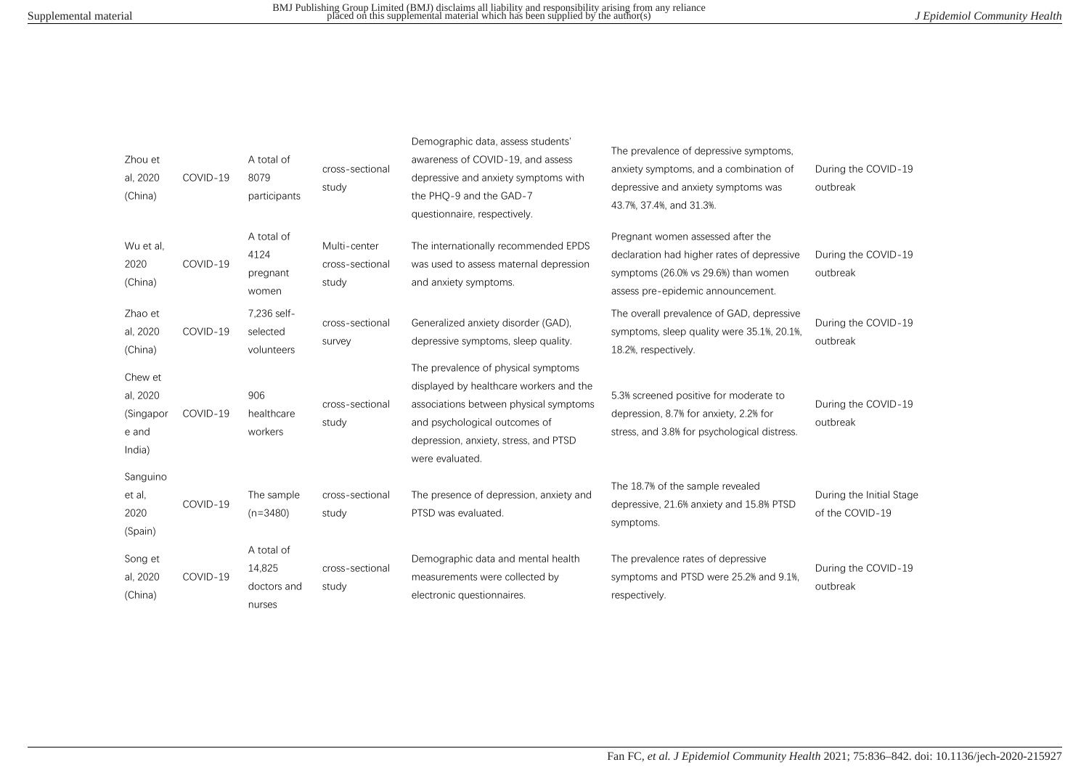| Zhou et<br>al, 2020<br>(China)                      | COVID-19 | A total of<br>8079<br>participants            | cross-sectional<br>study                 | Demographic data, assess students'<br>awareness of COVID-19, and assess<br>depressive and anxiety symptoms with<br>the PHQ-9 and the GAD-7<br>questionnaire, respectively.                                            | The prevalence of depressive symptoms,<br>anxiety symptoms, and a combination of<br>depressive and anxiety symptoms was<br>43.7%, 37.4%, and 31.3%.          | During the COVID-19<br>outbreak             |
|-----------------------------------------------------|----------|-----------------------------------------------|------------------------------------------|-----------------------------------------------------------------------------------------------------------------------------------------------------------------------------------------------------------------------|--------------------------------------------------------------------------------------------------------------------------------------------------------------|---------------------------------------------|
| Wu et al,<br>2020<br>(China)                        | COVID-19 | A total of<br>4124<br>pregnant<br>women       | Multi-center<br>cross-sectional<br>study | The internationally recommended EPDS<br>was used to assess maternal depression<br>and anxiety symptoms.                                                                                                               | Pregnant women assessed after the<br>declaration had higher rates of depressive<br>symptoms (26.0% vs 29.6%) than women<br>assess pre-epidemic announcement. | During the COVID-19<br>outbreak             |
| Zhao et<br>al, 2020<br>(China)                      | COVID-19 | 7,236 self-<br>selected<br>volunteers         | cross-sectional<br>survey                | Generalized anxiety disorder (GAD),<br>depressive symptoms, sleep quality.                                                                                                                                            | The overall prevalence of GAD, depressive<br>symptoms, sleep quality were 35.1%, 20.1%,<br>18.2%, respectively.                                              | During the COVID-19<br>outbreak             |
| Chew et<br>al, 2020<br>(Singapor<br>e and<br>India) | COVID-19 | 906<br>healthcare<br>workers                  | cross-sectional<br>study                 | The prevalence of physical symptoms<br>displayed by healthcare workers and the<br>associations between physical symptoms<br>and psychological outcomes of<br>depression, anxiety, stress, and PTSD<br>were evaluated. | 5.3% screened positive for moderate to<br>depression, 8.7% for anxiety, 2.2% for<br>stress, and 3.8% for psychological distress.                             | During the COVID-19<br>outbreak             |
| Sanguino<br>et al,<br>2020<br>(Spain)               | COVID-19 | The sample<br>$(n=3480)$                      | cross-sectional<br>study                 | The presence of depression, anxiety and<br>PTSD was evaluated.                                                                                                                                                        | The 18.7% of the sample revealed<br>depressive, 21.6% anxiety and 15.8% PTSD<br>symptoms.                                                                    | During the Initial Stage<br>of the COVID-19 |
| Song et<br>al, 2020<br>(China)                      | COVID-19 | A total of<br>14,825<br>doctors and<br>nurses | cross-sectional<br>study                 | Demographic data and mental health<br>measurements were collected by<br>electronic questionnaires.                                                                                                                    | The prevalence rates of depressive<br>symptoms and PTSD were 25.2% and 9.1%.<br>respectively.                                                                | During the COVID-19<br>outbreak             |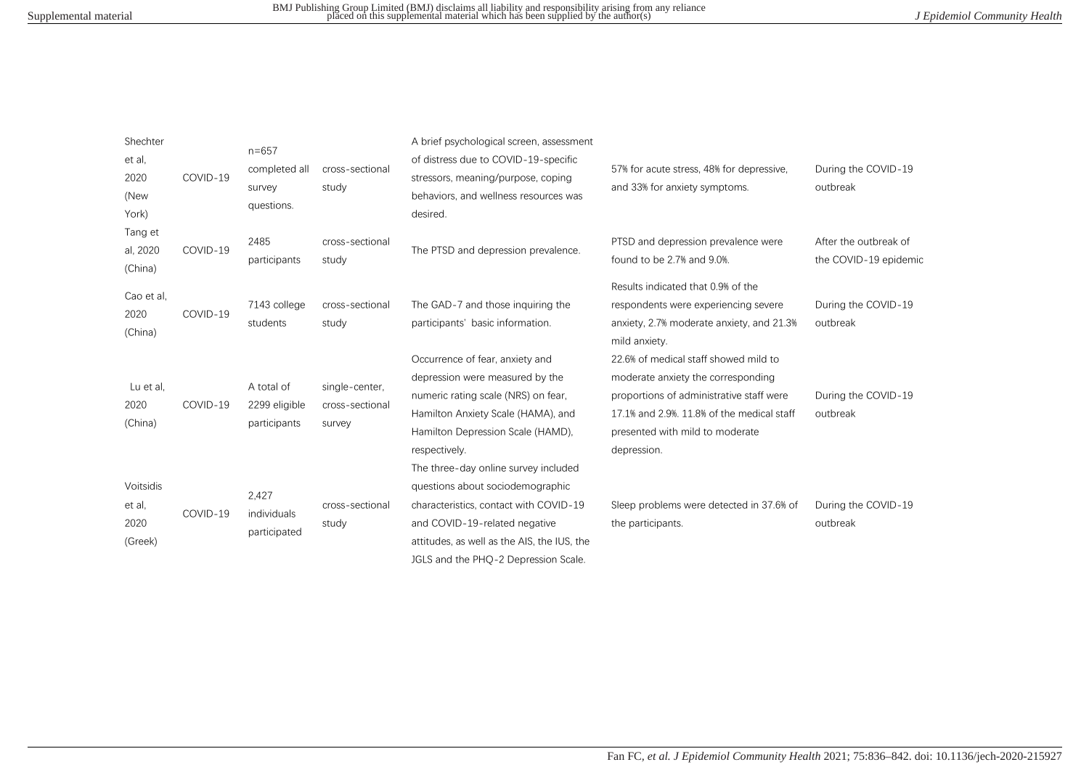| Shechter<br>et al,<br>2020<br>(New<br>York) | COVID-19 | $n = 657$<br>completed all<br>survey<br>questions. | cross-sectional<br>study                    | A brief psychological screen, assessment<br>of distress due to COVID-19-specific<br>stressors, meaning/purpose, coping<br>behaviors, and wellness resources was<br>desired.                                                                | 57% for acute stress, 48% for depressive,<br>and 33% for anxiety symptoms.                                                                                                                                              | During the COVID-19<br>outbreak                |
|---------------------------------------------|----------|----------------------------------------------------|---------------------------------------------|--------------------------------------------------------------------------------------------------------------------------------------------------------------------------------------------------------------------------------------------|-------------------------------------------------------------------------------------------------------------------------------------------------------------------------------------------------------------------------|------------------------------------------------|
| Tang et<br>al, 2020<br>(China)              | COVID-19 | 2485<br>participants                               | cross-sectional<br>study                    | The PTSD and depression prevalence.                                                                                                                                                                                                        | PTSD and depression prevalence were<br>found to be 2.7% and 9.0%.                                                                                                                                                       | After the outbreak of<br>the COVID-19 epidemic |
| Cao et al,<br>2020<br>(China)               | COVID-19 | 7143 college<br>students                           | cross-sectional<br>study                    | The GAD-7 and those inquiring the<br>participants' basic information.                                                                                                                                                                      | Results indicated that 0.9% of the<br>respondents were experiencing severe<br>anxiety, 2.7% moderate anxiety, and 21.3%<br>mild anxiety.                                                                                | During the COVID-19<br>outbreak                |
| Lu et al,<br>2020<br>(China)                | COVID-19 | A total of<br>2299 eligible<br>participants        | single-center,<br>cross-sectional<br>survey | Occurrence of fear, anxiety and<br>depression were measured by the<br>numeric rating scale (NRS) on fear,<br>Hamilton Anxiety Scale (HAMA), and<br>Hamilton Depression Scale (HAMD),<br>respectively.                                      | 22.6% of medical staff showed mild to<br>moderate anxiety the corresponding<br>proportions of administrative staff were<br>17.1% and 2.9%, 11.8% of the medical staff<br>presented with mild to moderate<br>depression. | During the COVID-19<br>outbreak                |
| Voitsidis<br>et al,<br>2020<br>(Greek)      | COVID-19 | 2,427<br>individuals<br>participated               | cross-sectional<br>study                    | The three-day online survey included<br>questions about sociodemographic<br>characteristics, contact with COVID-19<br>and COVID-19-related negative<br>attitudes, as well as the AIS, the IUS, the<br>JGLS and the PHQ-2 Depression Scale. | Sleep problems were detected in 37.6% of<br>the participants.                                                                                                                                                           | During the COVID-19<br>outbreak                |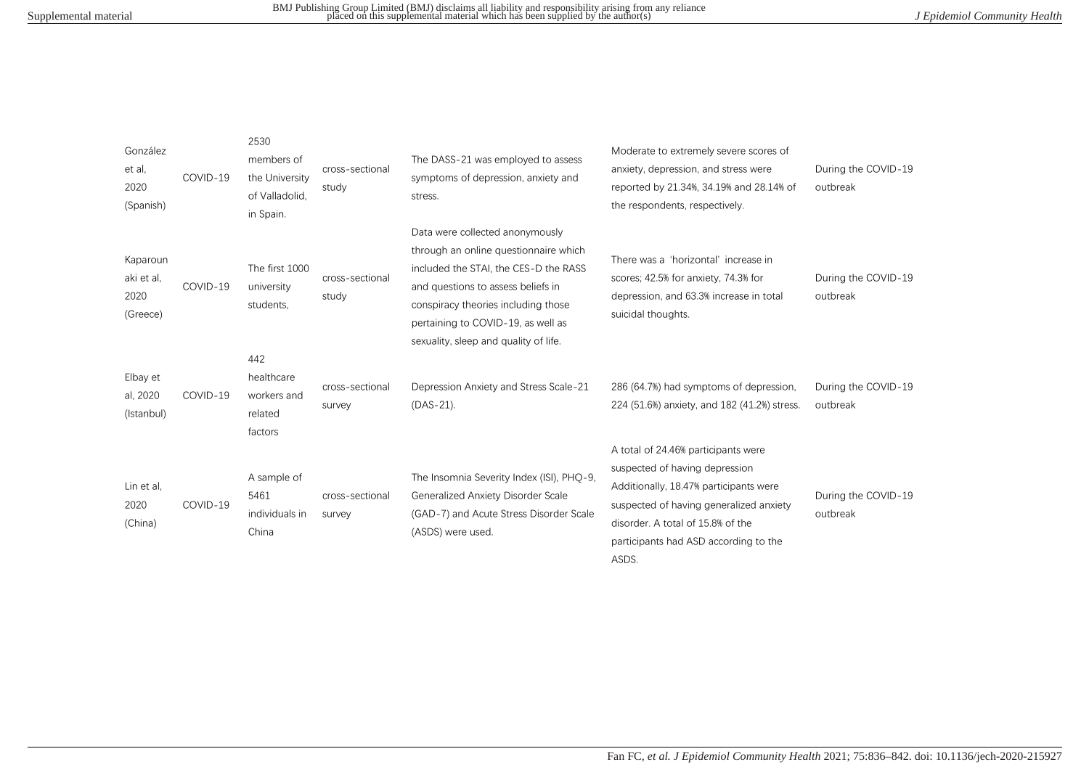| González<br>et al.<br>2020<br>(Spanish)    | COVID-19 | 2530<br>members of<br>the University<br>of Valladolid,<br>in Spain. | cross-sectional<br>study  | The DASS-21 was employed to assess<br>symptoms of depression, anxiety and<br>stress.                                                                                                                                                                                          | Moderate to extremely severe scores of<br>anxiety, depression, and stress were<br>reported by 21.34%, 34.19% and 28.14% of<br>the respondents, respectively.                                                                                      | During the COVID-19<br>outbreak |
|--------------------------------------------|----------|---------------------------------------------------------------------|---------------------------|-------------------------------------------------------------------------------------------------------------------------------------------------------------------------------------------------------------------------------------------------------------------------------|---------------------------------------------------------------------------------------------------------------------------------------------------------------------------------------------------------------------------------------------------|---------------------------------|
| Kaparoun<br>aki et al.<br>2020<br>(Greece) | COVID-19 | The first 1000<br>university<br>students.                           | cross-sectional<br>study  | Data were collected anonymously<br>through an online questionnaire which<br>included the STAI, the CES-D the RASS<br>and questions to assess beliefs in<br>conspiracy theories including those<br>pertaining to COVID-19, as well as<br>sexuality, sleep and quality of life. | There was a 'horizontal' increase in<br>scores; 42.5% for anxiety, 74.3% for<br>depression, and 63.3% increase in total<br>suicidal thoughts.                                                                                                     | During the COVID-19<br>outbreak |
| Elbay et<br>al, 2020<br>(Istanbul)         | COVID-19 | 442<br>healthcare<br>workers and<br>related<br>factors              | cross-sectional<br>survey | Depression Anxiety and Stress Scale-21<br>$(DAS-21)$ .                                                                                                                                                                                                                        | 286 (64.7%) had symptoms of depression,<br>224 (51.6%) anxiety, and 182 (41.2%) stress.                                                                                                                                                           | During the COVID-19<br>outbreak |
| Lin et al.<br>2020<br>(China)              | COVID-19 | A sample of<br>5461<br>individuals in<br>China                      | cross-sectional<br>survey | The Insomnia Severity Index (ISI), PHQ-9,<br>Generalized Anxiety Disorder Scale<br>(GAD-7) and Acute Stress Disorder Scale<br>(ASDS) were used.                                                                                                                               | A total of 24.46% participants were<br>suspected of having depression<br>Additionally, 18.47% participants were<br>suspected of having generalized anxiety<br>disorder. A total of 15.8% of the<br>participants had ASD according to the<br>ASDS. | During the COVID-19<br>outbreak |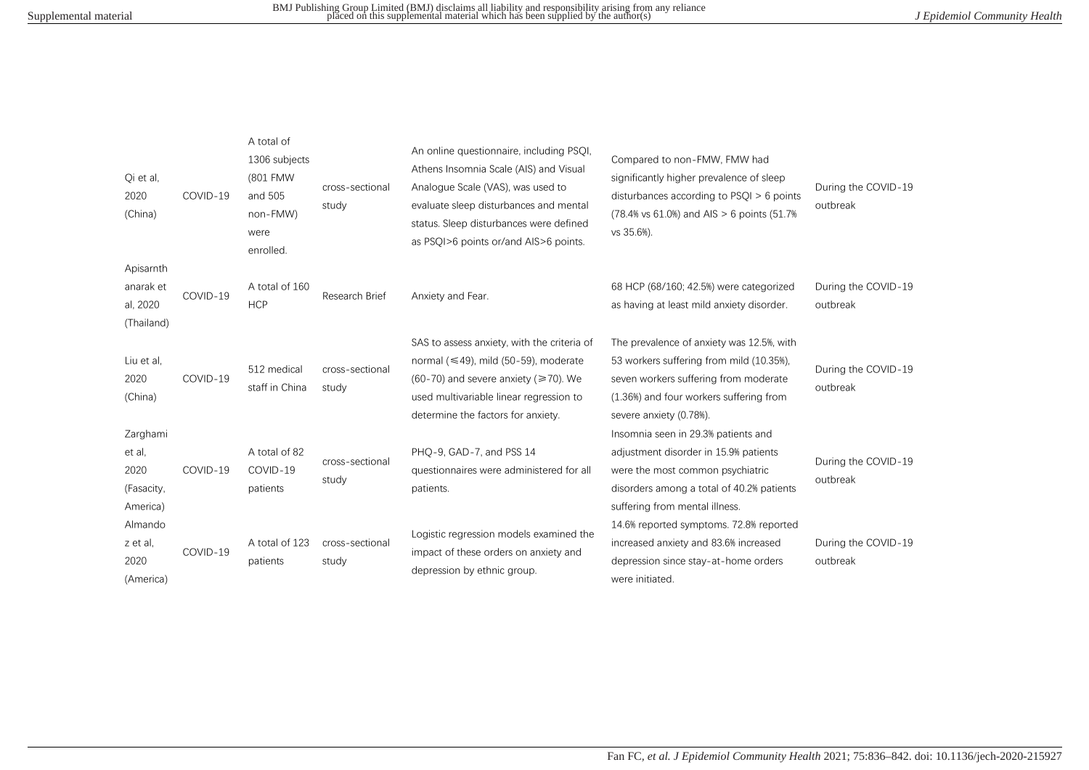| Qi et al,<br>2020<br>(China)                         | COVID-19 | A total of<br>1306 subjects<br>(801 FMW<br>and 505<br>non-FMW)<br>were<br>enrolled. | cross-sectional<br>study | An online questionnaire, including PSQI,<br>Athens Insomnia Scale (AIS) and Visual<br>Analogue Scale (VAS), was used to<br>evaluate sleep disturbances and mental<br>status. Sleep disturbances were defined<br>as PSOI>6 points or/and AIS>6 points. | Compared to non-FMW, FMW had<br>significantly higher prevalence of sleep<br>disturbances according to $PSQI > 6$ points<br>(78.4% vs 61.0%) and AIS > 6 points (51.7%)<br>vs 35.6%).                 | During the COVID-19<br>outbreak |
|------------------------------------------------------|----------|-------------------------------------------------------------------------------------|--------------------------|-------------------------------------------------------------------------------------------------------------------------------------------------------------------------------------------------------------------------------------------------------|------------------------------------------------------------------------------------------------------------------------------------------------------------------------------------------------------|---------------------------------|
| Apisarnth<br>anarak et<br>al, 2020<br>(Thailand)     | COVID-19 | A total of 160<br><b>HCP</b>                                                        | Research Brief           | Anxiety and Fear.                                                                                                                                                                                                                                     | 68 HCP (68/160; 42.5%) were categorized<br>as having at least mild anxiety disorder.                                                                                                                 | During the COVID-19<br>outbreak |
| Liu et al,<br>2020<br>(China)                        | COVID-19 | 512 medical<br>staff in China                                                       | cross-sectional<br>study | SAS to assess anxiety, with the criteria of<br>normal $(\leq 49)$ , mild (50-59), moderate<br>$(60-70)$ and severe anxiety ( $\geq 70$ ). We<br>used multivariable linear regression to<br>determine the factors for anxiety.                         | The prevalence of anxiety was 12.5%, with<br>53 workers suffering from mild (10.35%),<br>seven workers suffering from moderate<br>(1.36%) and four workers suffering from<br>severe anxiety (0.78%). | During the COVID-19<br>outbreak |
| Zarghami<br>et al.<br>2020<br>(Fasacity,<br>America) | COVID-19 | A total of 82<br>COVID-19<br>patients                                               | cross-sectional<br>study | PHO-9, GAD-7, and PSS 14<br>questionnaires were administered for all<br>patients.                                                                                                                                                                     | Insomnia seen in 29.3% patients and<br>adjustment disorder in 15.9% patients<br>were the most common psychiatric<br>disorders among a total of 40.2% patients<br>suffering from mental illness.      | During the COVID-19<br>outbreak |
| Almando<br>z et al,<br>2020<br>(America)             | COVID-19 | A total of 123<br>patients                                                          | cross-sectional<br>study | Logistic regression models examined the<br>impact of these orders on anxiety and<br>depression by ethnic group.                                                                                                                                       | 14.6% reported symptoms. 72.8% reported<br>increased anxiety and 83.6% increased<br>depression since stay-at-home orders<br>were initiated.                                                          | During the COVID-19<br>outbreak |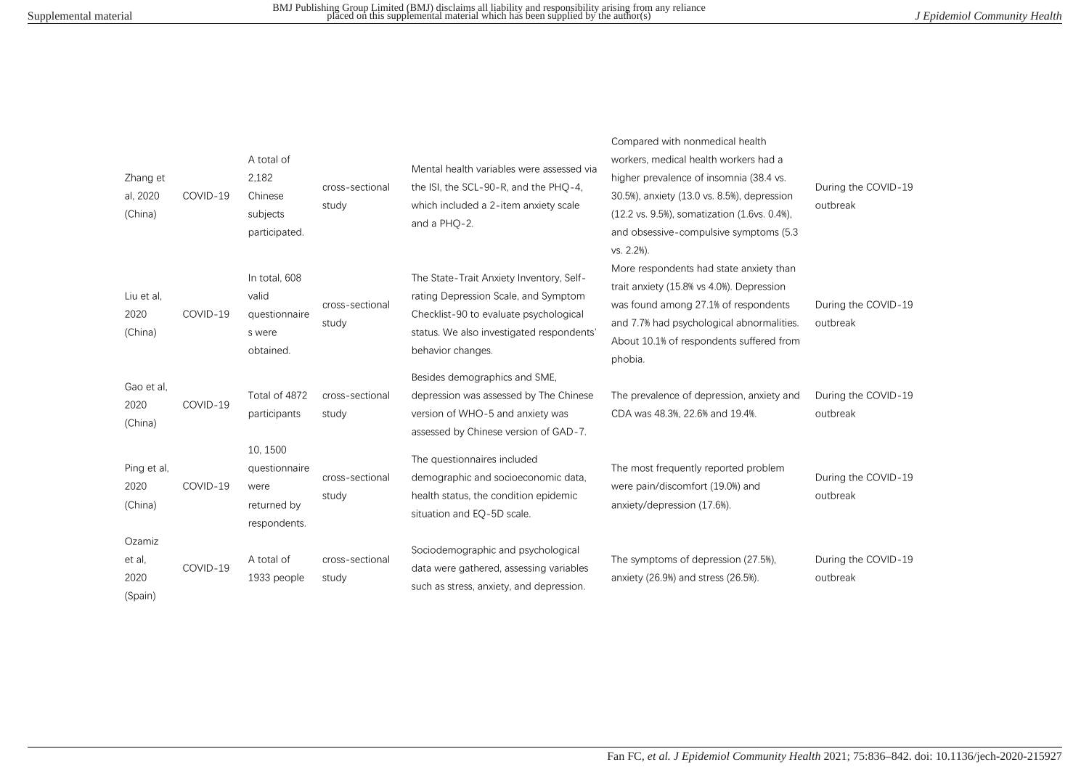| Zhang et<br>al, 2020<br>(China)     | COVID-19 | A total of<br>2,182<br>Chinese<br>subjects<br>participated.      | cross-sectional<br>study | Mental health variables were assessed via<br>the ISI, the SCL-90-R, and the PHQ-4,<br>which included a 2-item anxiety scale<br>and a PHO-2.                                                  | Compared with nonmedical health<br>workers, medical health workers had a<br>higher prevalence of insomnia (38.4 vs.<br>30.5%), anxiety (13.0 vs. 8.5%), depression<br>(12.2 vs. 9.5%), somatization (1.6vs. 0.4%),<br>and obsessive-compulsive symptoms (5.3<br>vs. 2.2%). | During the COVID-19<br>outbreak |
|-------------------------------------|----------|------------------------------------------------------------------|--------------------------|----------------------------------------------------------------------------------------------------------------------------------------------------------------------------------------------|----------------------------------------------------------------------------------------------------------------------------------------------------------------------------------------------------------------------------------------------------------------------------|---------------------------------|
| Liu et al,<br>2020<br>(China)       | COVID-19 | In total, 608<br>valid<br>questionnaire<br>s were<br>obtained.   | cross-sectional<br>study | The State-Trait Anxiety Inventory, Self-<br>rating Depression Scale, and Symptom<br>Checklist-90 to evaluate psychological<br>status. We also investigated respondents'<br>behavior changes. | More respondents had state anxiety than<br>trait anxiety (15.8% vs 4.0%). Depression<br>was found among 27.1% of respondents<br>and 7.7% had psychological abnormalities.<br>About 10.1% of respondents suffered from<br>phobia.                                           | During the COVID-19<br>outbreak |
| Gao et al.<br>2020<br>(China)       | COVID-19 | Total of 4872<br>participants                                    | cross-sectional<br>study | Besides demographics and SME.<br>depression was assessed by The Chinese<br>version of WHO-5 and anxiety was<br>assessed by Chinese version of GAD-7.                                         | The prevalence of depression, anxiety and<br>CDA was 48.3%, 22.6% and 19.4%.                                                                                                                                                                                               | During the COVID-19<br>outbreak |
| Ping et al,<br>2020<br>(China)      | COVID-19 | 10, 1500<br>questionnaire<br>were<br>returned by<br>respondents. | cross-sectional<br>study | The questionnaires included<br>demographic and socioeconomic data,<br>health status, the condition epidemic<br>situation and EQ-5D scale.                                                    | The most frequently reported problem<br>were pain/discomfort (19.0%) and<br>anxiety/depression (17.6%).                                                                                                                                                                    | During the COVID-19<br>outbreak |
| Ozamiz<br>et al,<br>2020<br>(Spain) | COVID-19 | A total of<br>1933 people                                        | cross-sectional<br>study | Sociodemographic and psychological<br>data were gathered, assessing variables<br>such as stress, anxiety, and depression.                                                                    | The symptoms of depression (27.5%),<br>anxiety (26.9%) and stress (26.5%).                                                                                                                                                                                                 | During the COVID-19<br>outbreak |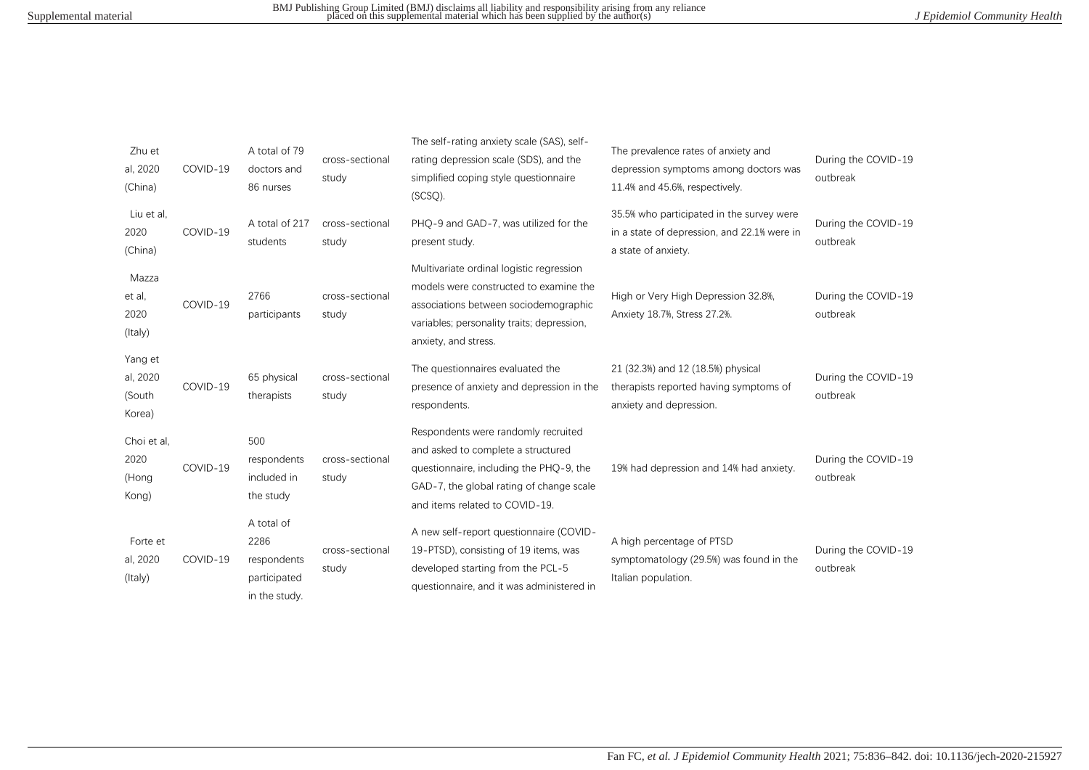| Zhu et<br>al, 2020<br>(China)           | COVID-19 | A total of 79<br>doctors and<br>86 nurses                          | cross-sectional<br>study | The self-rating anxiety scale (SAS), self-<br>rating depression scale (SDS), and the<br>simplified coping style questionnaire<br>$(SCSQ)$ .                                                        | The prevalence rates of anxiety and<br>depression symptoms among doctors was<br>11.4% and 45.6%, respectively.  | During the COVID-19<br>outbreak |
|-----------------------------------------|----------|--------------------------------------------------------------------|--------------------------|----------------------------------------------------------------------------------------------------------------------------------------------------------------------------------------------------|-----------------------------------------------------------------------------------------------------------------|---------------------------------|
| Liu et al,<br>2020<br>(China)           | COVID-19 | A total of 217<br>students                                         | cross-sectional<br>study | PHO-9 and GAD-7, was utilized for the<br>present study.                                                                                                                                            | 35.5% who participated in the survey were<br>in a state of depression, and 22.1% were in<br>a state of anxiety. | During the COVID-19<br>outbreak |
| Mazza<br>et al,<br>2020<br>(Italy)      | COVID-19 | 2766<br>participants                                               | cross-sectional<br>study | Multivariate ordinal logistic regression<br>models were constructed to examine the<br>associations between sociodemographic<br>variables; personality traits; depression,<br>anxiety, and stress.  | High or Very High Depression 32.8%.<br>Anxiety 18.7%, Stress 27.2%.                                             | During the COVID-19<br>outbreak |
| Yang et<br>al, 2020<br>(South<br>Korea) | COVID-19 | 65 physical<br>therapists                                          | cross-sectional<br>study | The questionnaires evaluated the<br>presence of anxiety and depression in the<br>respondents.                                                                                                      | 21 (32.3%) and 12 (18.5%) physical<br>therapists reported having symptoms of<br>anxiety and depression.         | During the COVID-19<br>outbreak |
| Choi et al,<br>2020<br>(Hong<br>Kong)   | COVID-19 | 500<br>respondents<br>included in<br>the study                     | cross-sectional<br>study | Respondents were randomly recruited<br>and asked to complete a structured<br>questionnaire, including the PHQ-9, the<br>GAD-7, the global rating of change scale<br>and items related to COVID-19. | 19% had depression and 14% had anxiety.                                                                         | During the COVID-19<br>outbreak |
| Forte et<br>al, 2020<br>(Italy)         | COVID-19 | A total of<br>2286<br>respondents<br>participated<br>in the study. | cross-sectional<br>study | A new self-report questionnaire (COVID-<br>19-PTSD), consisting of 19 items, was<br>developed starting from the PCL-5<br>questionnaire, and it was administered in                                 | A high percentage of PTSD<br>symptomatology (29.5%) was found in the<br>Italian population.                     | During the COVID-19<br>outbreak |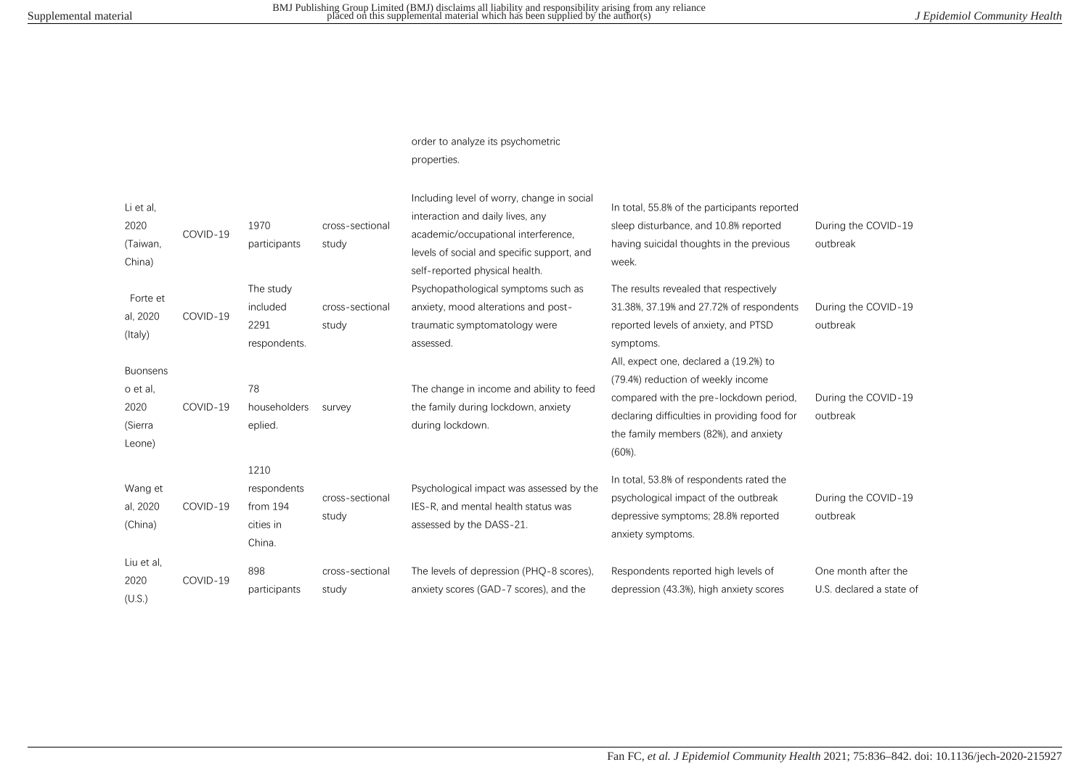## order to analyze its psychometric properties.

| Li et al.<br>2020<br>(Taiwan,<br>China)                  | COVID-19 | 1970<br>participants                                   | cross-sectional<br>study | Including level of worry, change in social<br>interaction and daily lives, any<br>academic/occupational interference,<br>levels of social and specific support, and<br>self-reported physical health. | In total, 55.8% of the participants reported<br>sleep disturbance, and 10.8% reported<br>having suicidal thoughts in the previous<br>week.                                                                                | During the COVID-19<br>outbreak                 |
|----------------------------------------------------------|----------|--------------------------------------------------------|--------------------------|-------------------------------------------------------------------------------------------------------------------------------------------------------------------------------------------------------|---------------------------------------------------------------------------------------------------------------------------------------------------------------------------------------------------------------------------|-------------------------------------------------|
| Forte et<br>al, 2020<br>(Italy)                          | COVID-19 | The study<br>included<br>2291<br>respondents.          | cross-sectional<br>study | Psychopathological symptoms such as<br>anxiety, mood alterations and post-<br>traumatic symptomatology were<br>assessed.                                                                              | The results revealed that respectively<br>31.38%, 37.19% and 27.72% of respondents<br>reported levels of anxiety, and PTSD<br>symptoms.                                                                                   | During the COVID-19<br>outbreak                 |
| <b>Buonsens</b><br>o et al,<br>2020<br>(Sierra<br>Leone) | COVID-19 | 78<br>householders<br>eplied.                          | survey                   | The change in income and ability to feed<br>the family during lockdown, anxiety<br>during lockdown.                                                                                                   | All, expect one, declared a (19.2%) to<br>(79.4%) reduction of weekly income<br>compared with the pre-lockdown period,<br>declaring difficulties in providing food for<br>the family members (82%), and anxiety<br>(60%). | During the COVID-19<br>outbreak                 |
| Wang et<br>al, 2020<br>(China)                           | COVID-19 | 1210<br>respondents<br>from 194<br>cities in<br>China. | cross-sectional<br>study | Psychological impact was assessed by the<br>IES-R, and mental health status was<br>assessed by the DASS-21.                                                                                           | In total, 53.8% of respondents rated the<br>psychological impact of the outbreak<br>depressive symptoms; 28.8% reported<br>anxiety symptoms.                                                                              | During the COVID-19<br>outbreak                 |
| Liu et al,<br>2020<br>(U.S.)                             | COVID-19 | 898<br>participants                                    | cross-sectional<br>study | The levels of depression (PHQ-8 scores),<br>anxiety scores (GAD-7 scores), and the                                                                                                                    | Respondents reported high levels of<br>depression (43.3%), high anxiety scores                                                                                                                                            | One month after the<br>U.S. declared a state of |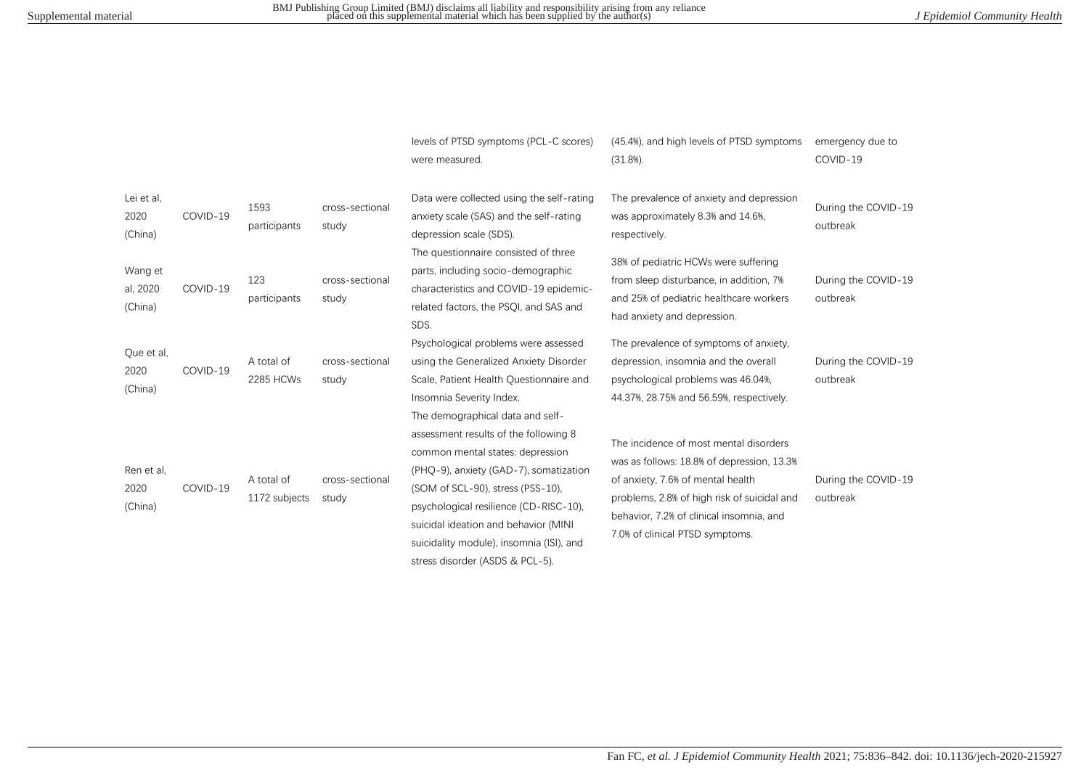|                                |          |                             |                          | levels of PTSD symptoms (PCL-C scores)<br>were measured.                                                                                                                                                                                                                               | (45.4%), and high levels of PTSD symptoms<br>(31.8%).                                                                                                                                                                                                   | emergency due to<br>COVID-19    |
|--------------------------------|----------|-----------------------------|--------------------------|----------------------------------------------------------------------------------------------------------------------------------------------------------------------------------------------------------------------------------------------------------------------------------------|---------------------------------------------------------------------------------------------------------------------------------------------------------------------------------------------------------------------------------------------------------|---------------------------------|
| Lei et al.<br>2020<br>(China)  | COVID-19 | 1593<br>participants        | cross-sectional<br>study | Data were collected using the self-rating<br>anxiety scale (SAS) and the self-rating<br>depression scale (SDS).<br>The questionnaire consisted of three                                                                                                                                | The prevalence of anxiety and depression<br>was approximately 8.3% and 14.6%,<br>respectively.                                                                                                                                                          | During the COVID-19<br>outbreak |
| Wang et<br>al, 2020<br>(China) | COVID-19 | 123<br>participants         | cross-sectional<br>study | parts, including socio-demographic<br>characteristics and COVID-19 epidemic-<br>related factors, the PSQI, and SAS and<br>SDS.                                                                                                                                                         | 38% of pediatric HCWs were suffering<br>from sleep disturbance, in addition, 7%<br>and 25% of pediatric healthcare workers<br>had anxiety and depression.                                                                                               | During the COVID-19<br>outbreak |
| Que et al,<br>2020<br>(China)  | COVID-19 | A total of<br>2285 HCWs     | cross-sectional<br>study | Psychological problems were assessed<br>using the Generalized Anxiety Disorder<br>Scale, Patient Health Questionnaire and<br>Insomnia Severity Index.<br>The demographical data and self-                                                                                              | The prevalence of symptoms of anxiety,<br>depression, insomnia and the overall<br>psychological problems was 46.04%,<br>44.37%, 28.75% and 56.59%, respectively.                                                                                        | During the COVID-19<br>outbreak |
| Ren et al,<br>2020<br>(China)  | COVID-19 | A total of<br>1172 subjects | cross-sectional<br>study | assessment results of the following 8<br>common mental states: depression<br>(PHQ-9), anxiety (GAD-7), somatization<br>(SOM of SCL-90), stress (PSS-10),<br>psychological resilience (CD-RISC-10),<br>suicidal ideation and behavior (MINI<br>suicidality module), insomnia (ISI), and | The incidence of most mental disorders<br>was as follows: 18.8% of depression, 13.3%<br>of anxiety, 7.6% of mental health<br>problems, 2.8% of high risk of suicidal and<br>behavior, 7.2% of clinical insomnia, and<br>7.0% of clinical PTSD symptoms. | During the COVID-19<br>outbreak |

stress disorder (ASDS & PCL-5).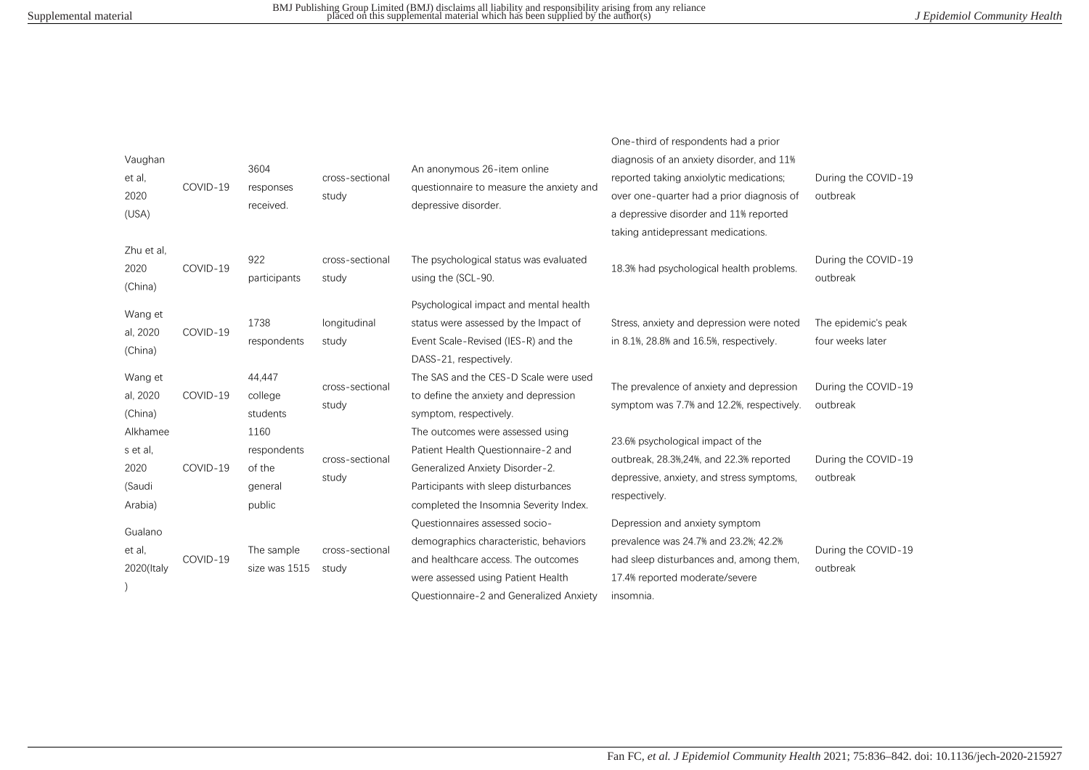| Vaughan<br>et al,<br>2020<br>(USA)                | COVID-19 | 3604<br>responses<br>received.                     | cross-sectional<br>study | An anonymous 26-item online<br>questionnaire to measure the anxiety and<br>depressive disorder.                                                                                                  | One-third of respondents had a prior<br>diagnosis of an anxiety disorder, and 11%<br>reported taking anxiolytic medications;<br>over one-quarter had a prior diagnosis of<br>a depressive disorder and 11% reported<br>taking antidepressant medications. | During the COVID-19<br>outbreak         |
|---------------------------------------------------|----------|----------------------------------------------------|--------------------------|--------------------------------------------------------------------------------------------------------------------------------------------------------------------------------------------------|-----------------------------------------------------------------------------------------------------------------------------------------------------------------------------------------------------------------------------------------------------------|-----------------------------------------|
| Zhu et al.<br>2020<br>(China)                     | COVID-19 | 922<br>participants                                | cross-sectional<br>study | The psychological status was evaluated<br>using the (SCL-90.                                                                                                                                     | 18.3% had psychological health problems.                                                                                                                                                                                                                  | During the COVID-19<br>outbreak         |
| Wang et<br>al, 2020<br>(China)                    | COVID-19 | 1738<br>respondents                                | longitudinal<br>study    | Psychological impact and mental health<br>status were assessed by the Impact of<br>Event Scale-Revised (IES-R) and the<br>DASS-21, respectively.                                                 | Stress, anxiety and depression were noted<br>in 8.1%, 28.8% and 16.5%, respectively.                                                                                                                                                                      | The epidemic's peak<br>four weeks later |
| Wang et<br>al, 2020<br>(China)                    | COVID-19 | 44,447<br>college<br>students                      | cross-sectional<br>study | The SAS and the CES-D Scale were used<br>to define the anxiety and depression<br>symptom, respectively.                                                                                          | The prevalence of anxiety and depression<br>symptom was 7.7% and 12.2%, respectively.                                                                                                                                                                     | During the COVID-19<br>outbreak         |
| Alkhamee<br>s et al,<br>2020<br>(Saudi<br>Arabia) | COVID-19 | 1160<br>respondents<br>of the<br>general<br>public | cross-sectional<br>study | The outcomes were assessed using<br>Patient Health Ouestionnaire-2 and<br>Generalized Anxiety Disorder-2.<br>Participants with sleep disturbances<br>completed the Insomnia Severity Index.      | 23.6% psychological impact of the<br>outbreak, 28.3%, 24%, and 22.3% reported<br>depressive, anxiety, and stress symptoms,<br>respectively.                                                                                                               | During the COVID-19<br>outbreak         |
| Gualano<br>et al,<br>2020(Italy                   | COVID-19 | The sample<br>size was 1515                        | cross-sectional<br>study | Questionnaires assessed socio-<br>demographics characteristic, behaviors<br>and healthcare access. The outcomes<br>were assessed using Patient Health<br>Ouestionnaire-2 and Generalized Anxiety | Depression and anxiety symptom<br>prevalence was 24.7% and 23.2%; 42.2%<br>had sleep disturbances and, among them,<br>17.4% reported moderate/severe<br>insomnia.                                                                                         | During the COVID-19<br>outbreak         |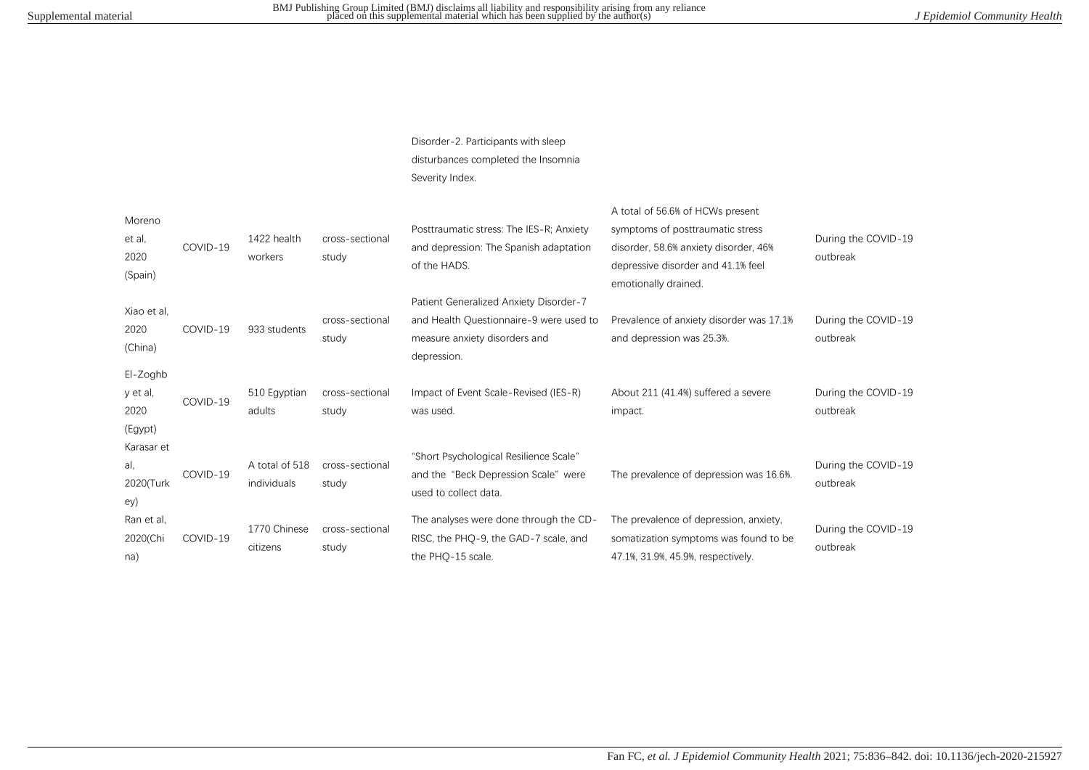Disorder-2. Participants with sleep disturbances completed the Insomnia Severity Index.

| Moreno<br>et al,<br>2020<br>(Spain)     | COVID-19 | 1422 health<br>workers        | cross-sectional<br>study | Posttraumatic stress: The IES-R; Anxiety<br>and depression: The Spanish adaptation<br>of the HADS.                                | A total of 56.6% of HCWs present<br>symptoms of posttraumatic stress<br>disorder, 58.6% anxiety disorder, 46%<br>depressive disorder and 41.1% feel<br>emotionally drained. | During the COVID-19<br>outbreak |
|-----------------------------------------|----------|-------------------------------|--------------------------|-----------------------------------------------------------------------------------------------------------------------------------|-----------------------------------------------------------------------------------------------------------------------------------------------------------------------------|---------------------------------|
| Xiao et al.<br>2020<br>(China)          | COVID-19 | 933 students                  | cross-sectional<br>study | Patient Generalized Anxiety Disorder-7<br>and Health Questionnaire-9 were used to<br>measure anxiety disorders and<br>depression. | Prevalence of anxiety disorder was 17.1%<br>and depression was 25.3%.                                                                                                       | During the COVID-19<br>outbreak |
| El-Zoghb<br>y et al,<br>2020<br>(Egypt) | COVID-19 | 510 Egyptian<br>adults        | cross-sectional<br>study | Impact of Event Scale-Revised (IES-R)<br>was used.                                                                                | About 211 (41.4%) suffered a severe<br>impact.                                                                                                                              | During the COVID-19<br>outbreak |
| Karasar et<br>al,<br>2020(Turk<br>ey)   | COVID-19 | A total of 518<br>individuals | cross-sectional<br>study | "Short Psychological Resilience Scale"<br>and the "Beck Depression Scale" were<br>used to collect data.                           | The prevalence of depression was 16.6%.                                                                                                                                     | During the COVID-19<br>outbreak |
| Ran et al.<br>2020(Chi<br>na)           | COVID-19 | 1770 Chinese<br>citizens      | cross-sectional<br>study | The analyses were done through the CD-<br>RISC, the PHQ-9, the GAD-7 scale, and<br>the PHQ-15 scale.                              | The prevalence of depression, anxiety,<br>somatization symptoms was found to be<br>47.1%, 31.9%, 45.9%, respectively.                                                       | During the COVID-19<br>outbreak |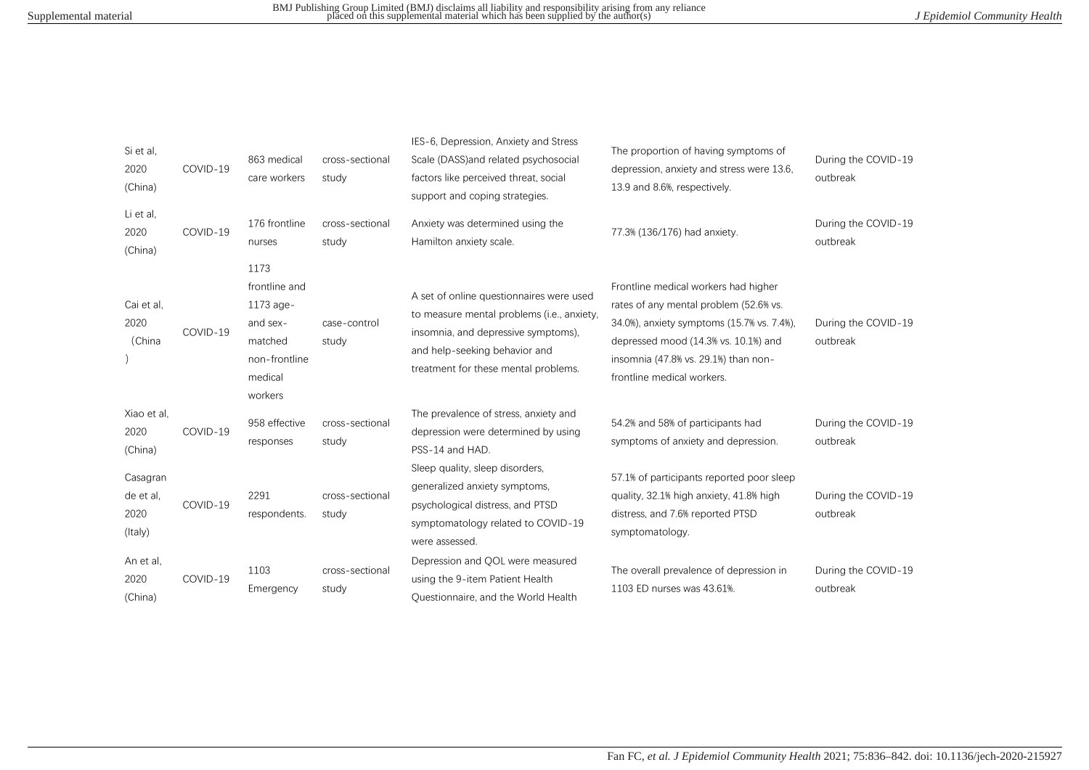| Si et al,<br>2020<br>(China)             | COVID-19 | 863 medical<br>care workers                                                                      | cross-sectional<br>study | IES-6, Depression, Anxiety and Stress<br>Scale (DASS) and related psychosocial<br>factors like perceived threat, social<br>support and coping strategies.                                              | The proportion of having symptoms of<br>depression, anxiety and stress were 13.6,<br>13.9 and 8.6%, respectively.                                                                                                                          | During the COVID-19<br>outbreak |
|------------------------------------------|----------|--------------------------------------------------------------------------------------------------|--------------------------|--------------------------------------------------------------------------------------------------------------------------------------------------------------------------------------------------------|--------------------------------------------------------------------------------------------------------------------------------------------------------------------------------------------------------------------------------------------|---------------------------------|
| Li et al,<br>2020<br>(China)             | COVID-19 | 176 frontline<br>nurses                                                                          | cross-sectional<br>study | Anxiety was determined using the<br>Hamilton anxiety scale.                                                                                                                                            | 77.3% (136/176) had anxiety.                                                                                                                                                                                                               | During the COVID-19<br>outbreak |
| Cai et al,<br>2020<br>(China             | COVID-19 | 1173<br>frontline and<br>1173 age-<br>and sex-<br>matched<br>non-frontline<br>medical<br>workers | case-control<br>study    | A set of online questionnaires were used<br>to measure mental problems (i.e., anxiety,<br>insomnia, and depressive symptoms),<br>and help-seeking behavior and<br>treatment for these mental problems. | Frontline medical workers had higher<br>rates of any mental problem (52.6% vs.<br>34.0%), anxiety symptoms (15.7% vs. 7.4%),<br>depressed mood (14.3% vs. 10.1%) and<br>insomnia (47.8% vs. 29.1%) than non-<br>frontline medical workers. | During the COVID-19<br>outbreak |
| Xiao et al.<br>2020<br>(China)           | COVID-19 | 958 effective<br>responses                                                                       | cross-sectional<br>study | The prevalence of stress, anxiety and<br>depression were determined by using<br>PSS-14 and HAD.                                                                                                        | 54.2% and 58% of participants had<br>symptoms of anxiety and depression.                                                                                                                                                                   | During the COVID-19<br>outbreak |
| Casagran<br>de et al.<br>2020<br>(Italy) | COVID-19 | 2291<br>respondents.                                                                             | cross-sectional<br>study | Sleep quality, sleep disorders,<br>generalized anxiety symptoms,<br>psychological distress, and PTSD<br>symptomatology related to COVID-19<br>were assessed.                                           | 57.1% of participants reported poor sleep<br>quality, 32.1% high anxiety, 41.8% high<br>distress, and 7.6% reported PTSD<br>symptomatology.                                                                                                | During the COVID-19<br>outbreak |
| An et al,<br>2020<br>(China)             | COVID-19 | 1103<br>Emergency                                                                                | cross-sectional<br>study | Depression and QOL were measured<br>using the 9-item Patient Health<br>Questionnaire, and the World Health                                                                                             | The overall prevalence of depression in<br>1103 ED nurses was 43.61%.                                                                                                                                                                      | During the COVID-19<br>outbreak |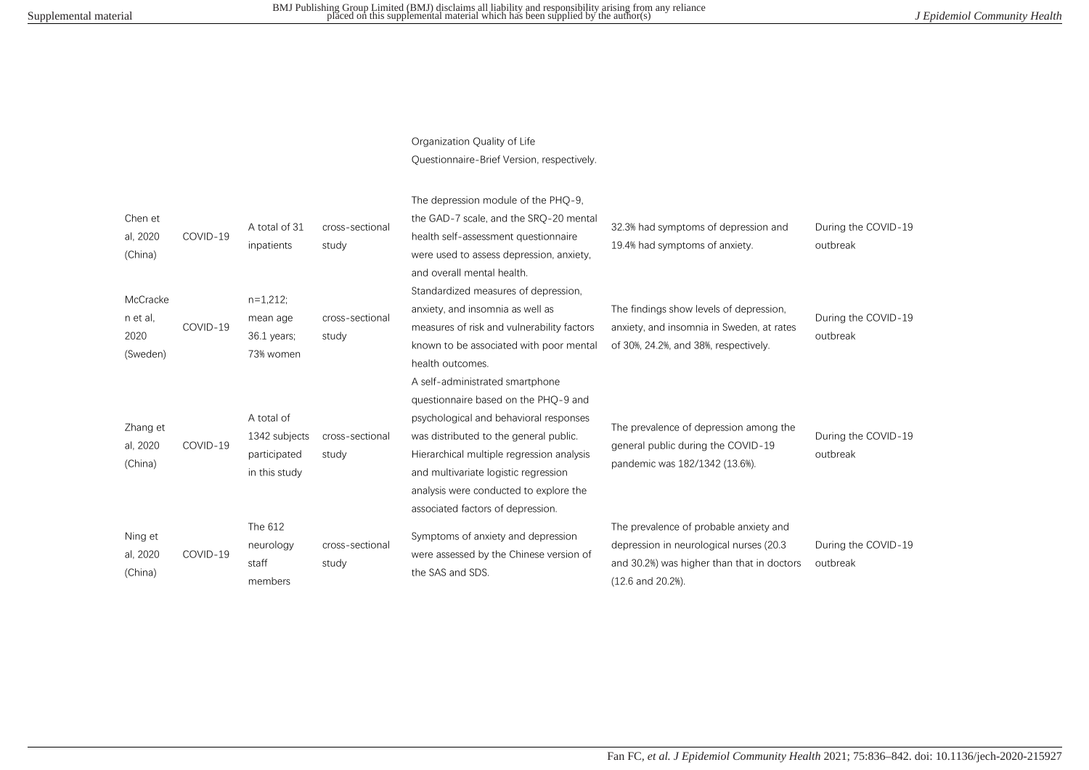## Organization Quality of Life

Questionnaire-Brief Version, respectively.

| Chen et<br>al, 2020<br>(China)           | COVID-19 | A total of 31<br>inpatients                                  | cross-sectional<br>study | The depression module of the PHQ-9,<br>the GAD-7 scale, and the SRQ-20 mental<br>health self-assessment questionnaire<br>were used to assess depression, anxiety,<br>and overall mental health.                                                                                                                                 | 32.3% had symptoms of depression and<br>19.4% had symptoms of anxiety.                                                                               | During the COVID-19<br>outbreak |
|------------------------------------------|----------|--------------------------------------------------------------|--------------------------|---------------------------------------------------------------------------------------------------------------------------------------------------------------------------------------------------------------------------------------------------------------------------------------------------------------------------------|------------------------------------------------------------------------------------------------------------------------------------------------------|---------------------------------|
| McCracke<br>n et al.<br>2020<br>(Sweden) | COVID-19 | $n=1,212$ ;<br>mean age<br>$36.1$ years;<br>73% women        | cross-sectional<br>study | Standardized measures of depression,<br>anxiety, and insomnia as well as<br>measures of risk and vulnerability factors<br>known to be associated with poor mental<br>health outcomes.                                                                                                                                           | The findings show levels of depression,<br>anxiety, and insomnia in Sweden, at rates<br>of 30%, 24.2%, and 38%, respectively.                        | During the COVID-19<br>outbreak |
| Zhang et<br>al, 2020<br>(China)          | COVID-19 | A total of<br>1342 subjects<br>participated<br>in this study | cross-sectional<br>study | A self-administrated smartphone<br>questionnaire based on the PHO-9 and<br>psychological and behavioral responses<br>was distributed to the general public.<br>Hierarchical multiple regression analysis<br>and multivariate logistic regression<br>analysis were conducted to explore the<br>associated factors of depression. | The prevalence of depression among the<br>general public during the COVID-19<br>pandemic was 182/1342 (13.6%).                                       | During the COVID-19<br>outbreak |
| Ning et<br>al, 2020<br>(China)           | COVID-19 | The 612<br>neurology<br>staff<br>members                     | cross-sectional<br>study | Symptoms of anxiety and depression<br>were assessed by the Chinese version of<br>the SAS and SDS.                                                                                                                                                                                                                               | The prevalence of probable anxiety and<br>depression in neurological nurses (20.3<br>and 30.2%) was higher than that in doctors<br>(12.6 and 20.2%). | During the COVID-19<br>outbreak |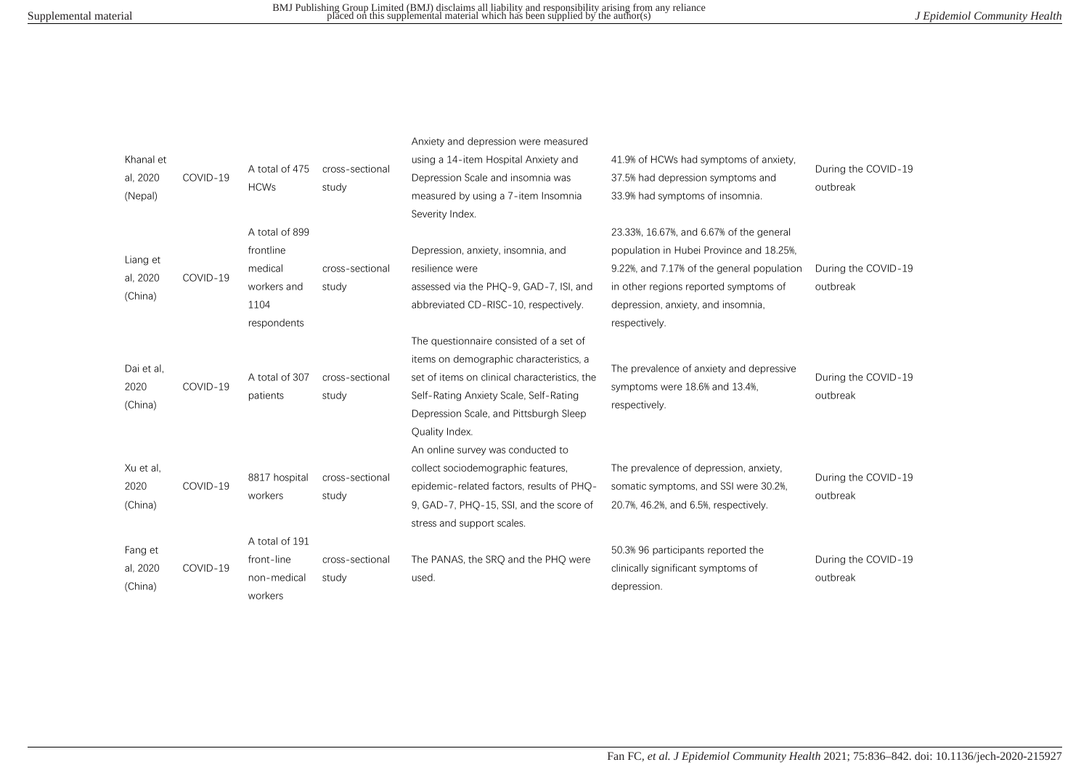| Khanal et<br>al, 2020<br>(Nepal) | COVID-19 | A total of 475<br><b>HCWs</b>                                                | cross-sectional<br>study | Anxiety and depression were measured<br>using a 14-item Hospital Anxiety and<br>Depression Scale and insomnia was<br>measured by using a 7-item Insomnia<br>Severity Index.                                                               | 41.9% of HCWs had symptoms of anxiety.<br>37.5% had depression symptoms and<br>33.9% had symptoms of insomnia.                                                                                                                     | During the COVID-19<br>outbreak |
|----------------------------------|----------|------------------------------------------------------------------------------|--------------------------|-------------------------------------------------------------------------------------------------------------------------------------------------------------------------------------------------------------------------------------------|------------------------------------------------------------------------------------------------------------------------------------------------------------------------------------------------------------------------------------|---------------------------------|
| Liang et<br>al, 2020<br>(China)  | COVID-19 | A total of 899<br>frontline<br>medical<br>workers and<br>1104<br>respondents | cross-sectional<br>study | Depression, anxiety, insomnia, and<br>resilience were<br>assessed via the PHQ-9, GAD-7, ISI, and<br>abbreviated CD-RISC-10, respectively.                                                                                                 | 23.33%, 16.67%, and 6.67% of the general<br>population in Hubei Province and 18.25%,<br>9.22%, and 7.17% of the general population<br>in other regions reported symptoms of<br>depression, anxiety, and insomnia,<br>respectively. | During the COVID-19<br>outbreak |
| Dai et al,<br>2020<br>(China)    | COVID-19 | A total of 307<br>patients                                                   | cross-sectional<br>study | The questionnaire consisted of a set of<br>items on demographic characteristics, a<br>set of items on clinical characteristics, the<br>Self-Rating Anxiety Scale, Self-Rating<br>Depression Scale, and Pittsburgh Sleep<br>Quality Index. | The prevalence of anxiety and depressive<br>symptoms were 18.6% and 13.4%,<br>respectively.                                                                                                                                        | During the COVID-19<br>outbreak |
| Xu et al,<br>2020<br>(China)     | COVID-19 | 8817 hospital<br>workers                                                     | cross-sectional<br>study | An online survey was conducted to<br>collect sociodemographic features,<br>epidemic-related factors, results of PHO-<br>9, GAD-7, PHO-15, SSI, and the score of<br>stress and support scales.                                             | The prevalence of depression, anxiety,<br>somatic symptoms, and SSI were 30.2%,<br>20.7%, 46.2%, and 6.5%, respectively.                                                                                                           | During the COVID-19<br>outbreak |
| Fang et<br>al, 2020<br>(China)   | COVID-19 | A total of 191<br>front-line<br>non-medical<br>workers                       | cross-sectional<br>study | The PANAS, the SRQ and the PHQ were<br>used.                                                                                                                                                                                              | 50.3% 96 participants reported the<br>clinically significant symptoms of<br>depression.                                                                                                                                            | During the COVID-19<br>outbreak |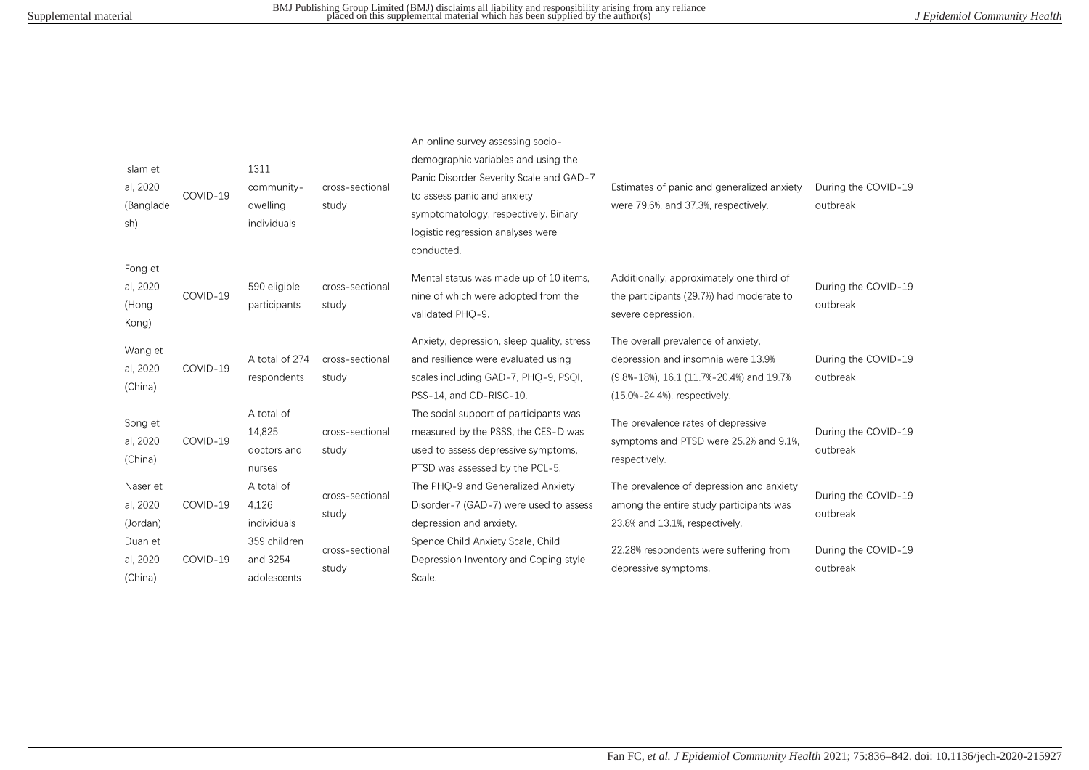| Islam et<br>al, 2020<br>(Banglade<br>sh) | COVID-19 | 1311<br>community-<br>dwelling<br>individuals | cross-sectional<br>study | An online survey assessing socio-<br>demographic variables and using the<br>Panic Disorder Severity Scale and GAD-7<br>to assess panic and anxiety<br>symptomatology, respectively. Binary<br>logistic regression analyses were<br>conducted. | Estimates of panic and generalized anxiety<br>were 79.6%, and 37.3%, respectively.                                                                   | During the COVID-19<br>outbreak |
|------------------------------------------|----------|-----------------------------------------------|--------------------------|-----------------------------------------------------------------------------------------------------------------------------------------------------------------------------------------------------------------------------------------------|------------------------------------------------------------------------------------------------------------------------------------------------------|---------------------------------|
| Fong et<br>al, 2020<br>(Hong<br>Kong)    | COVID-19 | 590 eligible<br>participants                  | cross-sectional<br>study | Mental status was made up of 10 items,<br>nine of which were adopted from the<br>validated PHO-9.                                                                                                                                             | Additionally, approximately one third of<br>the participants (29.7%) had moderate to<br>severe depression.                                           | During the COVID-19<br>outbreak |
| Wang et<br>al, 2020<br>(China)           | COVID-19 | A total of 274<br>respondents                 | cross-sectional<br>study | Anxiety, depression, sleep quality, stress<br>and resilience were evaluated using<br>scales including GAD-7, PHQ-9, PSQI,<br>PSS-14, and CD-RISC-10.                                                                                          | The overall prevalence of anxiety,<br>depression and insomnia were 13.9%<br>(9.8%-18%), 16.1 (11.7%-20.4%) and 19.7%<br>(15.0%-24.4%), respectively. | During the COVID-19<br>outbreak |
| Song et<br>al, 2020<br>(China)           | COVID-19 | A total of<br>14,825<br>doctors and<br>nurses | cross-sectional<br>study | The social support of participants was<br>measured by the PSSS, the CES-D was<br>used to assess depressive symptoms,<br>PTSD was assessed by the PCL-5.                                                                                       | The prevalence rates of depressive<br>symptoms and PTSD were 25.2% and 9.1%.<br>respectively.                                                        | During the COVID-19<br>outbreak |
| Naser et<br>al, 2020<br>(Jordan)         | COVID-19 | A total of<br>4,126<br>individuals            | cross-sectional<br>study | The PHQ-9 and Generalized Anxiety<br>Disorder-7 (GAD-7) were used to assess<br>depression and anxiety.                                                                                                                                        | The prevalence of depression and anxiety<br>among the entire study participants was<br>23.8% and 13.1%, respectively.                                | During the COVID-19<br>outbreak |
| Duan et<br>al, 2020<br>(China)           | COVID-19 | 359 children<br>and 3254<br>adolescents       | cross-sectional<br>study | Spence Child Anxiety Scale, Child<br>Depression Inventory and Coping style<br>Scale.                                                                                                                                                          | 22.28% respondents were suffering from<br>depressive symptoms.                                                                                       | During the COVID-19<br>outbreak |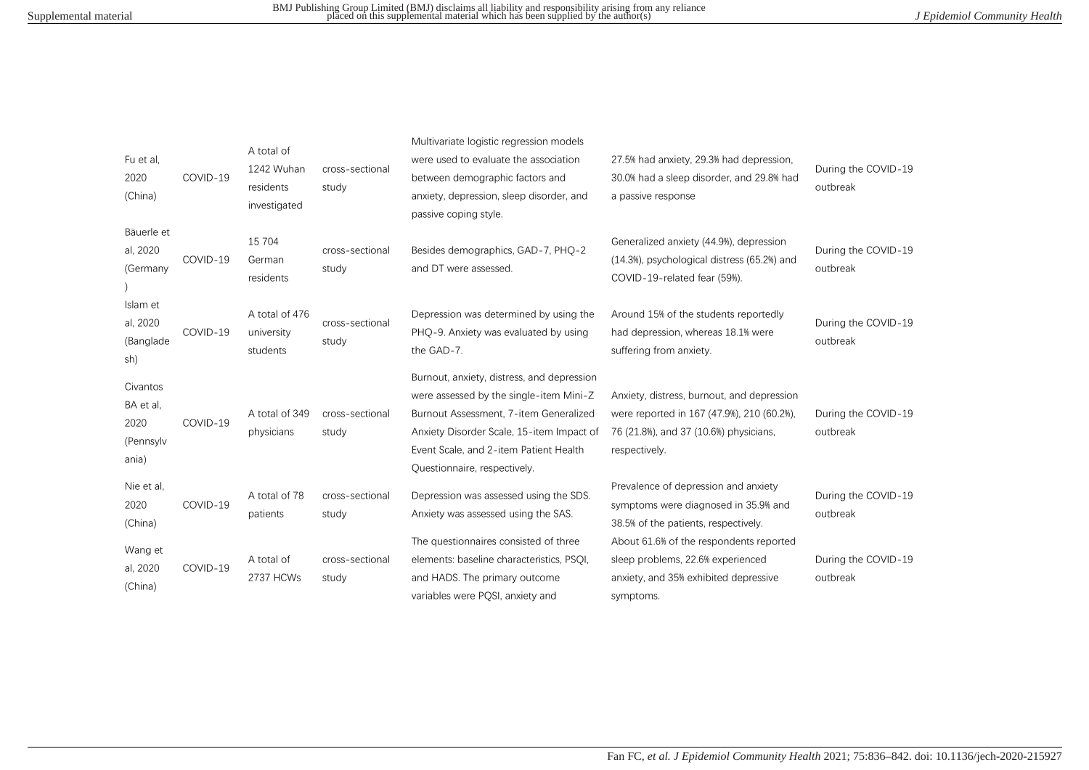| Fu et al.<br>2020<br>(China)                        | COVID-19 | A total of<br>1242 Wuhan<br>residents<br>investigated | cross-sectional<br>study | Multivariate logistic regression models<br>were used to evaluate the association<br>between demographic factors and<br>anxiety, depression, sleep disorder, and<br>passive coping style.                                                               | 27.5% had anxiety, 29.3% had depression,<br>30.0% had a sleep disorder, and 29.8% had<br>a passive response                                         | During the COVID-19<br>outbreak |
|-----------------------------------------------------|----------|-------------------------------------------------------|--------------------------|--------------------------------------------------------------------------------------------------------------------------------------------------------------------------------------------------------------------------------------------------------|-----------------------------------------------------------------------------------------------------------------------------------------------------|---------------------------------|
| Bäuerle et<br>al, 2020<br>(Germany                  | COVID-19 | 15 704<br>German<br>residents                         | cross-sectional<br>study | Besides demographics, GAD-7, PHQ-2<br>and DT were assessed.                                                                                                                                                                                            | Generalized anxiety (44.9%), depression<br>(14.3%), psychological distress (65.2%) and<br>COVID-19-related fear (59%).                              | During the COVID-19<br>outbreak |
| Islam et<br>al, 2020<br>(Banglade<br>sh)            | COVID-19 | A total of 476<br>university<br>students              | cross-sectional<br>study | Depression was determined by using the<br>PHQ-9. Anxiety was evaluated by using<br>the GAD-7.                                                                                                                                                          | Around 15% of the students reportedly<br>had depression, whereas 18.1% were<br>suffering from anxiety.                                              | During the COVID-19<br>outbreak |
| Civantos<br>BA et al,<br>2020<br>(Pennsylv<br>ania) | COVID-19 | A total of 349<br>physicians                          | cross-sectional<br>study | Burnout, anxiety, distress, and depression<br>were assessed by the single-item Mini-Z<br>Burnout Assessment, 7-item Generalized<br>Anxiety Disorder Scale, 15-item Impact of<br>Event Scale, and 2-item Patient Health<br>Questionnaire, respectively. | Anxiety, distress, burnout, and depression<br>were reported in 167 (47.9%), 210 (60.2%),<br>76 (21.8%), and 37 (10.6%) physicians,<br>respectively. | During the COVID-19<br>outbreak |
| Nie et al.<br>2020<br>(China)                       | COVID-19 | A total of 78<br>patients                             | cross-sectional<br>study | Depression was assessed using the SDS.<br>Anxiety was assessed using the SAS.                                                                                                                                                                          | Prevalence of depression and anxiety<br>symptoms were diagnosed in 35.9% and<br>38.5% of the patients, respectively.                                | During the COVID-19<br>outbreak |
| Wang et<br>al, 2020<br>(China)                      | COVID-19 | A total of<br>2737 HCWs                               | cross-sectional<br>study | The questionnaires consisted of three<br>elements: baseline characteristics, PSOI,<br>and HADS. The primary outcome<br>variables were PQSI, anxiety and                                                                                                | About 61.6% of the respondents reported<br>sleep problems, 22.6% experienced<br>anxiety, and 35% exhibited depressive<br>symptoms.                  | During the COVID-19<br>outbreak |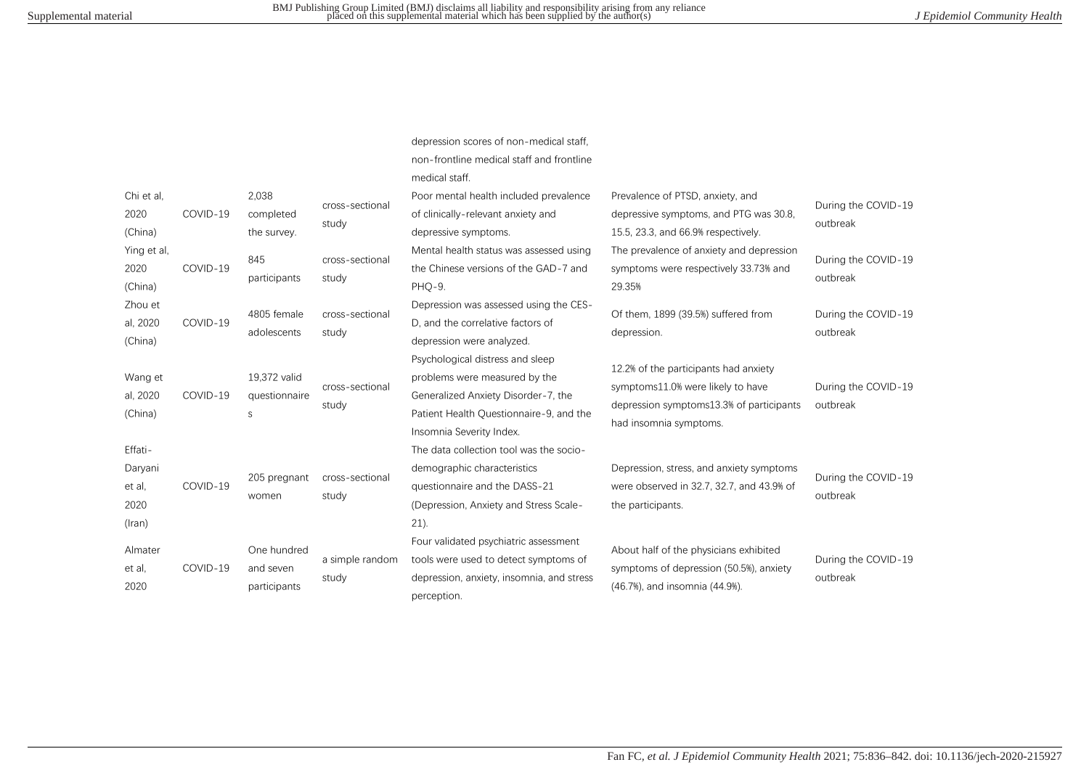depression scores of non-medical staff,

| Chi et al,<br>2020<br>(China)                        | COVID-19 | 2,038<br>completed<br>the survey.        | cross-sectional<br>study | non-frontline medical staff and frontline<br>medical staff.<br>Poor mental health included prevalence<br>of clinically-relevant anxiety and<br>depressive symptoms.             | Prevalence of PTSD, anxiety, and<br>depressive symptoms, and PTG was 30.8,<br>15.5, 23.3, and 66.9% respectively.                                | During the COVID-19<br>outbreak |
|------------------------------------------------------|----------|------------------------------------------|--------------------------|---------------------------------------------------------------------------------------------------------------------------------------------------------------------------------|--------------------------------------------------------------------------------------------------------------------------------------------------|---------------------------------|
| Ying et al,<br>2020<br>(China)                       | COVID-19 | 845<br>participants                      | cross-sectional<br>study | Mental health status was assessed using<br>the Chinese versions of the GAD-7 and<br>PHQ-9.                                                                                      | The prevalence of anxiety and depression<br>symptoms were respectively 33.73% and<br>29.35%                                                      | During the COVID-19<br>outbreak |
| Zhou et<br>al, 2020<br>(China)                       | COVID-19 | 4805 female<br>adolescents               | cross-sectional<br>study | Depression was assessed using the CES-<br>D, and the correlative factors of<br>depression were analyzed.                                                                        | Of them, 1899 (39.5%) suffered from<br>depression.                                                                                               | During the COVID-19<br>outbreak |
| Wang et<br>al, 2020<br>(China)                       | COVID-19 | 19,372 valid<br>questionnaire<br>S       | cross-sectional<br>study | Psychological distress and sleep<br>problems were measured by the<br>Generalized Anxiety Disorder-7, the<br>Patient Health Questionnaire-9, and the<br>Insomnia Severity Index. | 12.2% of the participants had anxiety<br>symptoms11.0% were likely to have<br>depression symptoms13.3% of participants<br>had insomnia symptoms. | During the COVID-19<br>outbreak |
| Effati-<br>Daryani<br>et al.<br>2020<br>$($ lran $)$ | COVID-19 | 205 pregnant<br>women                    | cross-sectional<br>study | The data collection tool was the socio-<br>demographic characteristics<br>questionnaire and the DASS-21<br>(Depression, Anxiety and Stress Scale-<br>$21$ ).                    | Depression, stress, and anxiety symptoms<br>were observed in 32.7, 32.7, and 43.9% of<br>the participants.                                       | During the COVID-19<br>outbreak |
| Almater<br>et al.<br>2020                            | COVID-19 | One hundred<br>and seven<br>participants | a simple random<br>study | Four validated psychiatric assessment<br>tools were used to detect symptoms of<br>depression, anxiety, insomnia, and stress<br>perception.                                      | About half of the physicians exhibited<br>symptoms of depression (50.5%), anxiety<br>(46.7%), and insomnia (44.9%).                              | During the COVID-19<br>outbreak |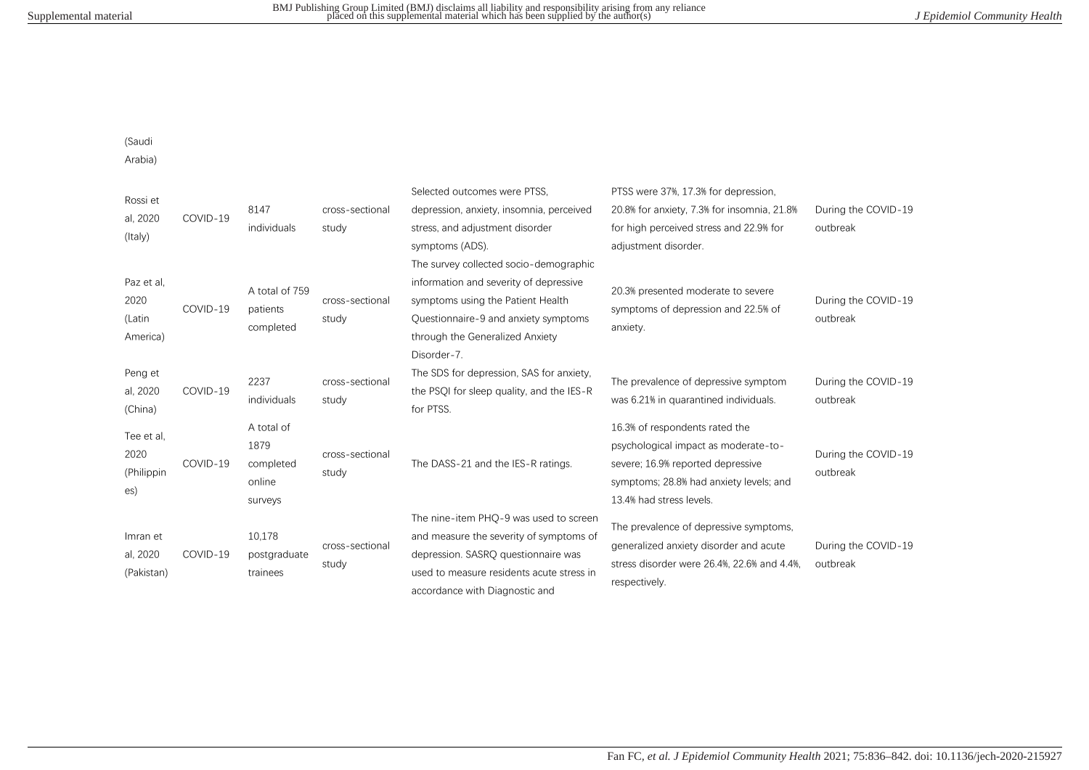(Saudi

Arabia)

| Rossi et   |          |                |                 | Selected outcomes were PTSS.              | PTSS were 37%, 17.3% for depression,            |                                 |
|------------|----------|----------------|-----------------|-------------------------------------------|-------------------------------------------------|---------------------------------|
|            | COVID-19 | 8147           | cross-sectional | depression, anxiety, insomnia, perceived  | 20.8% for anxiety, 7.3% for insomnia, 21.8%     | During the COVID-19             |
| al, 2020   |          | individuals    | study           | stress, and adjustment disorder           | for high perceived stress and 22.9% for         | outbreak                        |
| (Italy)    |          |                |                 | symptoms (ADS).                           | adjustment disorder.                            |                                 |
|            |          |                |                 | The survey collected socio-demographic    |                                                 |                                 |
| Paz et al, |          | A total of 759 |                 | information and severity of depressive    | 20.3% presented moderate to severe              |                                 |
| 2020       | COVID-19 | patients       | cross-sectional | symptoms using the Patient Health         | symptoms of depression and 22.5% of<br>anxiety. | During the COVID-19<br>outbreak |
| (Latin     |          | completed      | study           | Ouestionnaire-9 and anxiety symptoms      |                                                 |                                 |
| America)   |          |                |                 | through the Generalized Anxiety           |                                                 |                                 |
|            |          |                |                 | Disorder-7.                               |                                                 |                                 |
| Peng et    |          | 2237           | cross-sectional | The SDS for depression, SAS for anxiety,  | The prevalence of depressive symptom            | During the COVID-19             |
| al, 2020   | COVID-19 | individuals    | study           | the PSQI for sleep quality, and the IES-R | was 6.21% in quarantined individuals.           | outbreak                        |
| (China)    |          |                |                 | for PTSS.                                 |                                                 |                                 |
| Tee et al, |          | A total of     |                 |                                           | 16.3% of respondents rated the                  |                                 |
| 2020       |          | 1879           | cross-sectional |                                           | psychological impact as moderate-to-            | During the COVID-19             |
| (Philippin | COVID-19 | completed      | study           | The DASS-21 and the IES-R ratings.        | severe; 16.9% reported depressive               | outbreak                        |
| es)        |          | online         |                 |                                           | symptoms; 28.8% had anxiety levels; and         |                                 |
|            |          | surveys        |                 |                                           | 13.4% had stress levels.                        |                                 |
|            |          |                |                 | The nine-item PHQ-9 was used to screen    | The prevalence of depressive symptoms,          |                                 |
| Imran et   |          | 10,178         | cross-sectional | and measure the severity of symptoms of   | generalized anxiety disorder and acute          | During the COVID-19             |
| al, 2020   | COVID-19 | postgraduate   | study           | depression. SASRO questionnaire was       | stress disorder were 26.4%, 22.6% and 4.4%,     | outbreak                        |
| (Pakistan) |          | trainees       |                 | used to measure residents acute stress in | respectively.                                   |                                 |
|            |          |                |                 | accordance with Diagnostic and            |                                                 |                                 |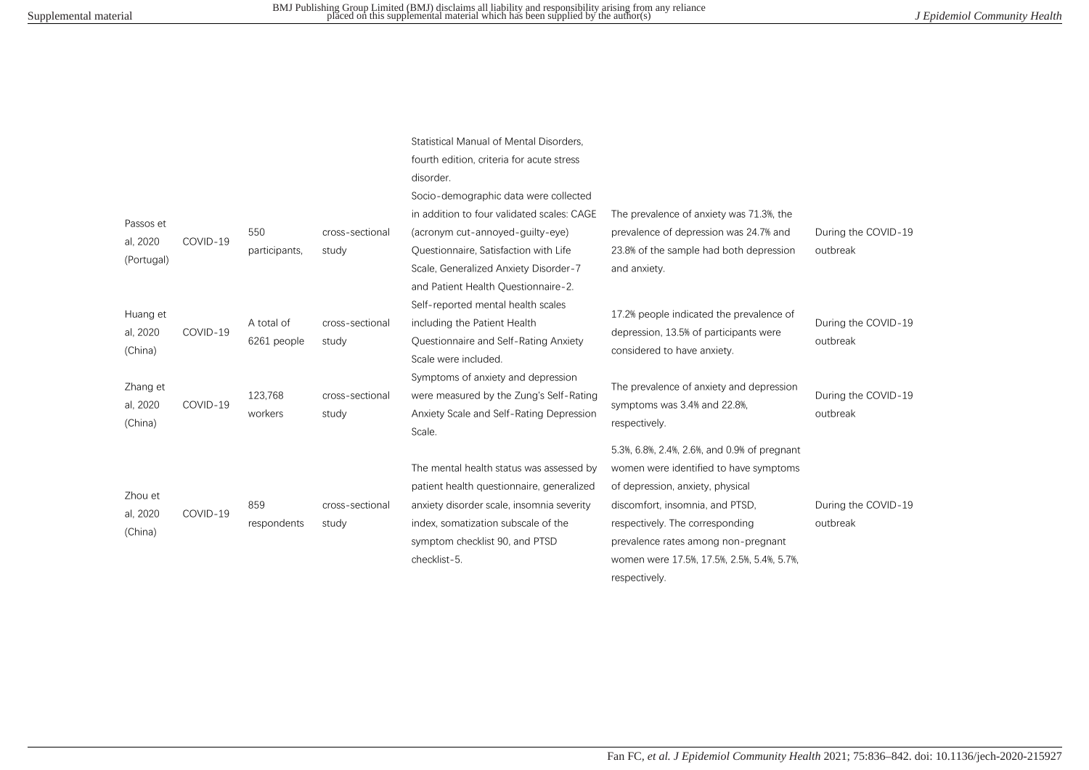|                      |          |               |                 | Statistical Manual of Mental Disorders,    |                                              |                     |
|----------------------|----------|---------------|-----------------|--------------------------------------------|----------------------------------------------|---------------------|
|                      |          |               |                 | fourth edition, criteria for acute stress  |                                              |                     |
|                      |          |               |                 | disorder.                                  |                                              |                     |
|                      |          |               |                 | Socio-demographic data were collected      |                                              |                     |
|                      |          |               |                 | in addition to four validated scales: CAGE | The prevalence of anxiety was 71.3%, the     |                     |
| Passos et            | COVID-19 | 550           | cross-sectional | (acronym cut-annoyed-guilty-eye)           | prevalence of depression was 24.7% and       | During the COVID-19 |
| al, 2020             |          | participants, | study           | Ouestionnaire, Satisfaction with Life      | 23.8% of the sample had both depression      | outbreak            |
| (Portugal)           |          |               |                 | Scale, Generalized Anxiety Disorder-7      | and anxiety.                                 |                     |
|                      |          |               |                 | and Patient Health Questionnaire-2.        |                                              |                     |
|                      |          |               |                 | Self-reported mental health scales         |                                              |                     |
| Huang et             | COVID-19 | A total of    | cross-sectional | including the Patient Health               | 17.2% people indicated the prevalence of     | During the COVID-19 |
| al, 2020<br>(China)  |          | 6261 people   | study           | Questionnaire and Self-Rating Anxiety      | depression, 13.5% of participants were       | outbreak            |
|                      |          |               |                 | Scale were included.                       | considered to have anxiety.                  |                     |
|                      |          |               |                 | Symptoms of anxiety and depression         | The prevalence of anxiety and depression     |                     |
| Zhang et<br>al, 2020 | COVID-19 | 123.768       | cross-sectional | were measured by the Zung's Self-Rating    | symptoms was 3.4% and 22.8%.                 | During the COVID-19 |
| (China)              |          | workers       | study           | Anxiety Scale and Self-Rating Depression   |                                              | outbreak            |
|                      |          |               |                 | Scale.                                     | respectively.                                |                     |
|                      |          |               |                 |                                            | 5.3%, 6.8%, 2.4%, 2.6%, and 0.9% of pregnant |                     |
|                      |          |               |                 | The mental health status was assessed by   | women were identified to have symptoms       |                     |
| Zhou et              |          |               |                 | patient health questionnaire, generalized  | of depression, anxiety, physical             |                     |
| al, 2020             | COVID-19 | 859           | cross-sectional | anxiety disorder scale, insomnia severity  | discomfort, insomnia, and PTSD,              | During the COVID-19 |
|                      |          | respondents   | study           | index, somatization subscale of the        | respectively. The corresponding              | outbreak            |
| (China)              |          |               |                 | symptom checklist 90, and PTSD             | prevalence rates among non-pregnant          |                     |
|                      |          |               |                 | checklist-5.                               | women were 17.5%, 17.5%, 2.5%, 5.4%, 5.7%,   |                     |
|                      |          |               |                 |                                            | respectively.                                |                     |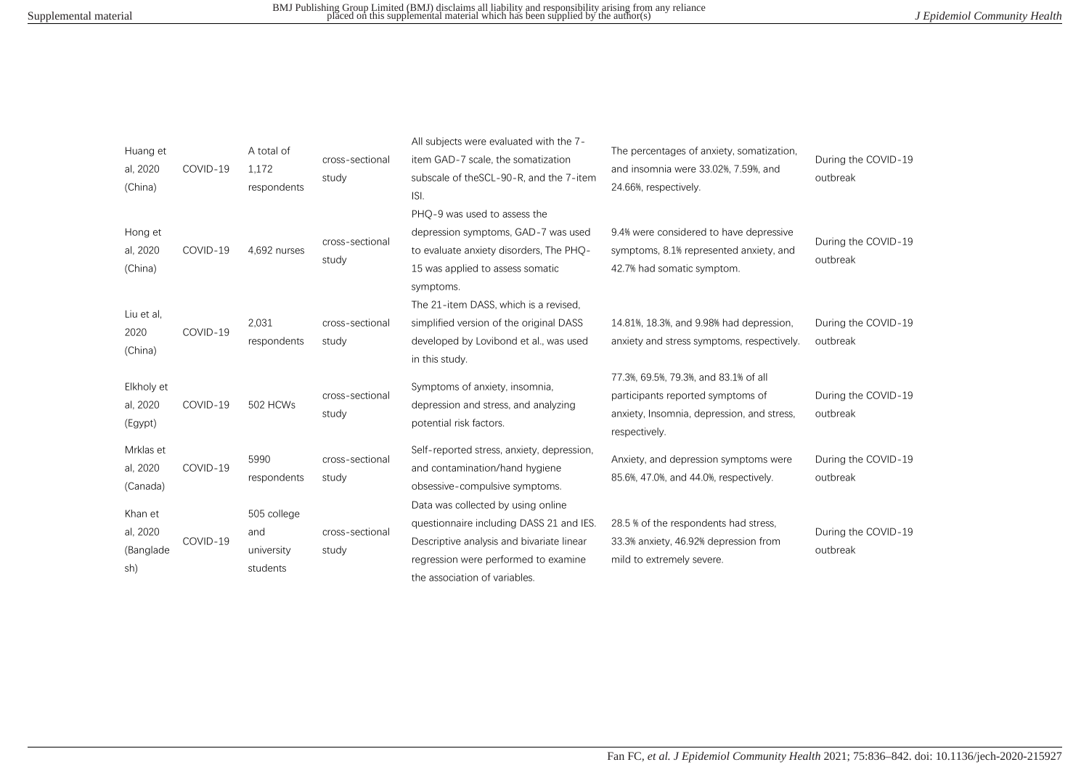| Huang et<br>al, 2020<br>(China)         | COVID-19 | A total of<br>1,172<br>respondents           | cross-sectional<br>study | All subjects were evaluated with the 7-<br>item GAD-7 scale, the somatization<br>subscale of the SCL-90-R, and the 7-item<br>ISI.                                                                    | The percentages of anxiety, somatization,<br>and insomnia were 33.02%, 7.59%, and<br>24.66%, respectively.                                | During the COVID-19<br>outbreak |
|-----------------------------------------|----------|----------------------------------------------|--------------------------|------------------------------------------------------------------------------------------------------------------------------------------------------------------------------------------------------|-------------------------------------------------------------------------------------------------------------------------------------------|---------------------------------|
| Hong et<br>al, 2020<br>(China)          | COVID-19 | 4,692 nurses                                 | cross-sectional<br>study | PHQ-9 was used to assess the<br>depression symptoms, GAD-7 was used<br>to evaluate anxiety disorders. The PHO-<br>15 was applied to assess somatic<br>symptoms.                                      | 9.4% were considered to have depressive<br>symptoms, 8.1% represented anxiety, and<br>42.7% had somatic symptom.                          | During the COVID-19<br>outbreak |
| Liu et al,<br>2020<br>(China)           | COVID-19 | 2,031<br>respondents                         | cross-sectional<br>study | The 21-item DASS, which is a revised.<br>simplified version of the original DASS<br>developed by Lovibond et al., was used<br>in this study.                                                         | 14.81%, 18.3%, and 9.98% had depression,<br>anxiety and stress symptoms, respectively.                                                    | During the COVID-19<br>outbreak |
| Elkholy et<br>al, 2020<br>(Egypt)       | COVID-19 | 502 HCWs                                     | cross-sectional<br>study | Symptoms of anxiety, insomnia,<br>depression and stress, and analyzing<br>potential risk factors.                                                                                                    | 77.3%, 69.5%, 79.3%, and 83.1% of all<br>participants reported symptoms of<br>anxiety, Insomnia, depression, and stress,<br>respectively. | During the COVID-19<br>outbreak |
| Mrklas et<br>al, 2020<br>(Canada)       | COVID-19 | 5990<br>respondents                          | cross-sectional<br>study | Self-reported stress, anxiety, depression,<br>and contamination/hand hygiene<br>obsessive-compulsive symptoms.                                                                                       | Anxiety, and depression symptoms were<br>85.6%, 47.0%, and 44.0%, respectively.                                                           | During the COVID-19<br>outbreak |
| Khan et<br>al, 2020<br>(Banglade<br>sh) | COVID-19 | 505 college<br>and<br>university<br>students | cross-sectional<br>study | Data was collected by using online<br>questionnaire including DASS 21 and IES.<br>Descriptive analysis and bivariate linear<br>regression were performed to examine<br>the association of variables. | 28.5 % of the respondents had stress,<br>33.3% anxiety, 46.92% depression from<br>mild to extremely severe.                               | During the COVID-19<br>outbreak |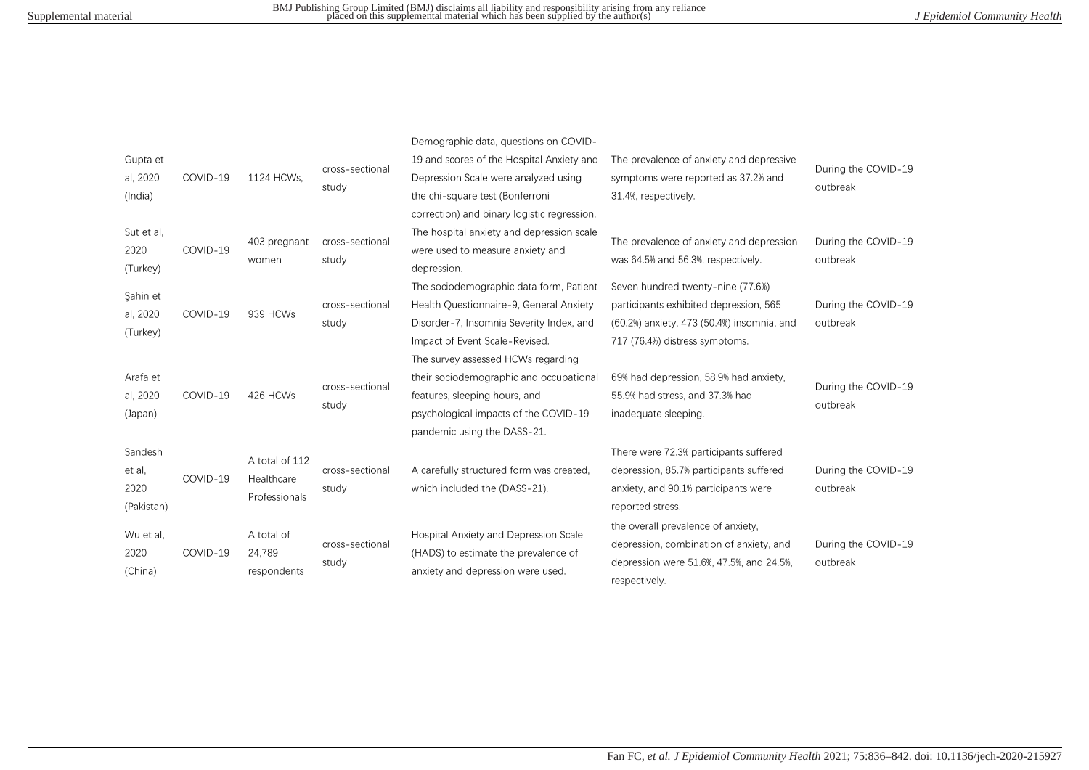|            |          |                |                 | Demographic data, questions on COVID-       |                                            |                     |
|------------|----------|----------------|-----------------|---------------------------------------------|--------------------------------------------|---------------------|
| Gupta et   |          |                | cross-sectional | 19 and scores of the Hospital Anxiety and   | The prevalence of anxiety and depressive   | During the COVID-19 |
| al, 2020   | COVID-19 | 1124 HCWs.     | study           | Depression Scale were analyzed using        | symptoms were reported as 37.2% and        | outbreak            |
| (India)    |          |                |                 | the chi-square test (Bonferroni             | 31.4%, respectively.                       |                     |
|            |          |                |                 | correction) and binary logistic regression. |                                            |                     |
| Sut et al. |          | 403 pregnant   | cross-sectional | The hospital anxiety and depression scale   | The prevalence of anxiety and depression   | During the COVID-19 |
| 2020       | COVID-19 |                |                 | were used to measure anxiety and            | was 64.5% and 56.3%, respectively.         | outbreak            |
| (Turkey)   |          | women          | study           | depression.                                 |                                            |                     |
|            |          |                |                 | The sociodemographic data form, Patient     | Seven hundred twenty-nine (77.6%)          |                     |
| Sahin et   |          |                | cross-sectional | Health Questionnaire-9, General Anxiety     | participants exhibited depression, 565     | During the COVID-19 |
| al, 2020   | COVID-19 | 939 HCWs       | study           | Disorder-7, Insomnia Severity Index, and    | (60.2%) anxiety, 473 (50.4%) insomnia, and | outbreak            |
| (Turkey)   |          |                |                 | Impact of Event Scale-Revised.              | 717 (76.4%) distress symptoms.             |                     |
|            |          |                |                 | The survey assessed HCWs regarding          |                                            |                     |
| Arafa et   |          |                |                 | their sociodemographic and occupational     | 69% had depression, 58.9% had anxiety,     |                     |
| al, 2020   | COVID-19 | 426 HCWs       | cross-sectional | features, sleeping hours, and               | 55.9% had stress, and 37.3% had            | During the COVID-19 |
| (Japan)    |          |                | study           | psychological impacts of the COVID-19       | inadequate sleeping.                       | outbreak            |
|            |          |                |                 | pandemic using the DASS-21.                 |                                            |                     |
| Sandesh    |          |                |                 |                                             | There were 72.3% participants suffered     |                     |
| et al.     |          | A total of 112 | cross-sectional | A carefully structured form was created,    | depression, 85.7% participants suffered    | During the COVID-19 |
| 2020       | COVID-19 | Healthcare     | study           | which included the (DASS-21).               | anxiety, and 90.1% participants were       | outbreak            |
| (Pakistan) |          | Professionals  |                 |                                             | reported stress.                           |                     |
|            |          |                |                 |                                             | the overall prevalence of anxiety,         |                     |
| Wu et al.  |          | A total of     | cross-sectional | Hospital Anxiety and Depression Scale       | depression, combination of anxiety, and    | During the COVID-19 |
| 2020       | COVID-19 | 24,789         | study           | (HADS) to estimate the prevalence of        | depression were 51.6%, 47.5%, and 24.5%,   | outbreak            |
| (China)    |          | respondents    |                 | anxiety and depression were used.           | respectively.                              |                     |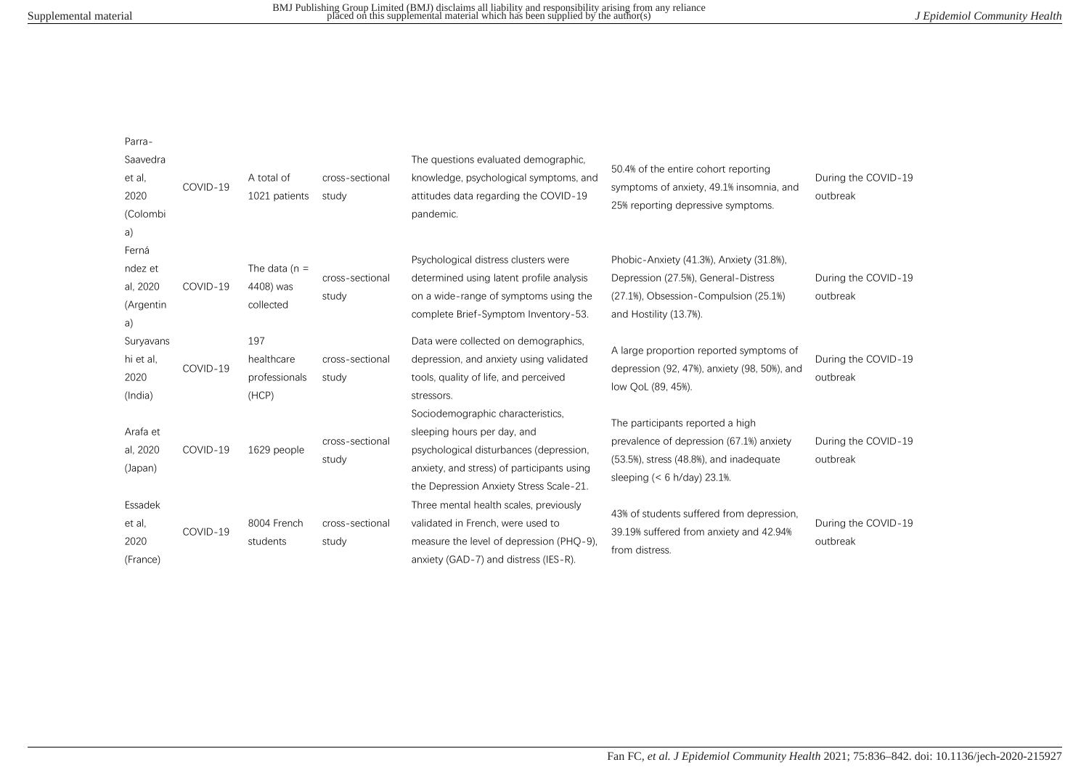Parra‐

| Saavedra<br>et al,<br>2020                | COVID-19 | A total of<br>1021 patients                 | cross-sectional<br>study | The questions evaluated demographic,<br>knowledge, psychological symptoms, and<br>attitudes data regarding the COVID-19                                                                              | 50.4% of the entire cohort reporting<br>symptoms of anxiety, 49.1% insomnia, and<br>25% reporting depressive symptoms.                                                   | During the COVID-19<br>outbreak |
|-------------------------------------------|----------|---------------------------------------------|--------------------------|------------------------------------------------------------------------------------------------------------------------------------------------------------------------------------------------------|--------------------------------------------------------------------------------------------------------------------------------------------------------------------------|---------------------------------|
| (Colombi<br>a)<br>Ferná                   |          |                                             |                          | pandemic.<br>Psychological distress clusters were                                                                                                                                                    | Phobic-Anxiety (41.3%), Anxiety (31.8%),                                                                                                                                 |                                 |
| ndez et<br>al, 2020<br>(Argentin<br>a)    | COVID-19 | The data ( $n =$<br>4408) was<br>collected  | cross-sectional<br>study | determined using latent profile analysis<br>on a wide-range of symptoms using the<br>complete Brief-Symptom Inventory-53.                                                                            | Depression (27.5%), General-Distress<br>(27.1%), Obsession-Compulsion (25.1%)<br>and Hostility (13.7%).                                                                  | During the COVID-19<br>outbreak |
| Suryavans<br>hi et al,<br>2020<br>(India) | COVID-19 | 197<br>healthcare<br>professionals<br>(HCP) | cross-sectional<br>study | Data were collected on demographics.<br>depression, and anxiety using validated<br>tools, quality of life, and perceived<br>stressors.                                                               | A large proportion reported symptoms of<br>depression (92, 47%), anxiety (98, 50%), and<br>low QoL (89, 45%).                                                            | During the COVID-19<br>outbreak |
| Arafa et<br>al, 2020<br>(Japan)           | COVID-19 | 1629 people                                 | cross-sectional<br>study | Sociodemographic characteristics,<br>sleeping hours per day, and<br>psychological disturbances (depression,<br>anxiety, and stress) of participants using<br>the Depression Anxiety Stress Scale-21. | The participants reported a high<br>prevalence of depression (67.1%) anxiety<br>$(53.5\%)$ , stress $(48.8\%)$ , and inadequate<br>sleeping $(< 6 \text{ h/day})$ 23.1%. | During the COVID-19<br>outbreak |
| Essadek<br>et al,<br>2020<br>(France)     | COVID-19 | 8004 French<br>students                     | cross-sectional<br>study | Three mental health scales, previously<br>validated in French, were used to<br>measure the level of depression (PHQ-9),<br>anxiety (GAD-7) and distress (IES-R).                                     | 43% of students suffered from depression,<br>39.19% suffered from anxiety and 42.94%<br>from distress.                                                                   | During the COVID-19<br>outbreak |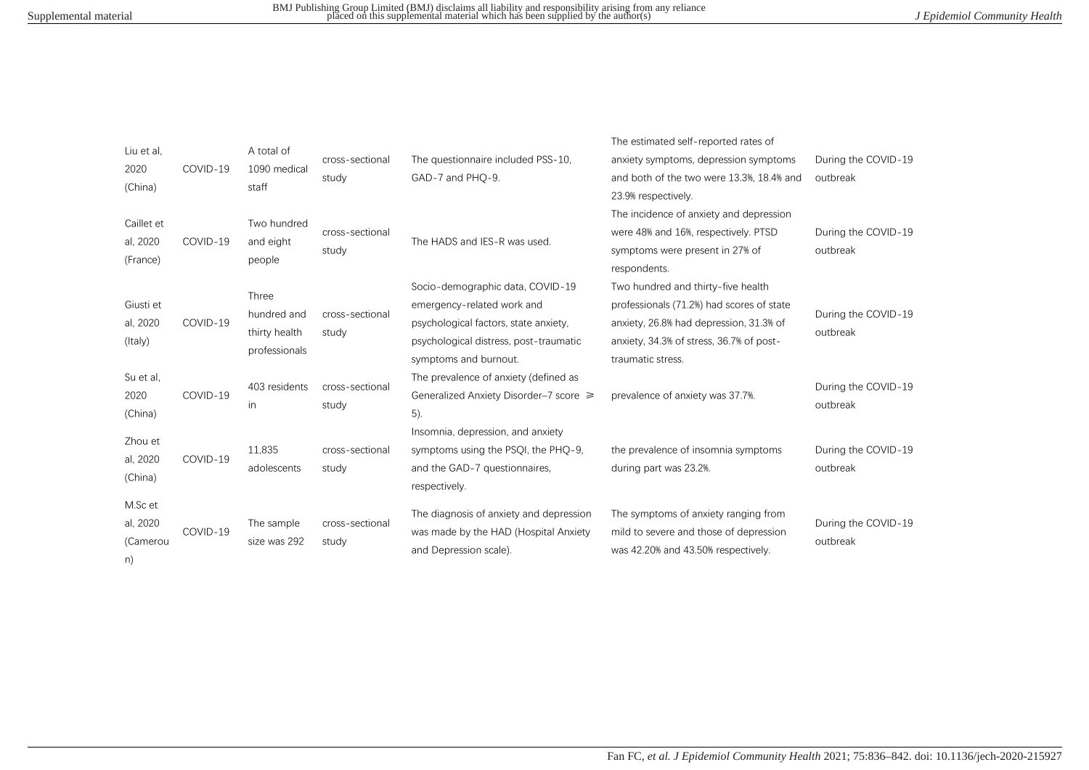| Liu et al.<br>2020<br>(China)         | COVID-19 | A total of<br>1090 medical<br>staff                    | cross-sectional<br>study | The questionnaire included PSS-10,<br>GAD-7 and PHO-9.                                                                                                                     | The estimated self-reported rates of<br>anxiety symptoms, depression symptoms<br>and both of the two were 13.3%, 18.4% and<br>23.9% respectively.                                           | During the COVID-19<br>outbreak |
|---------------------------------------|----------|--------------------------------------------------------|--------------------------|----------------------------------------------------------------------------------------------------------------------------------------------------------------------------|---------------------------------------------------------------------------------------------------------------------------------------------------------------------------------------------|---------------------------------|
| Caillet et<br>al, 2020<br>(France)    | COVID-19 | Two hundred<br>and eight<br>people                     | cross-sectional<br>study | The HADS and IES-R was used.                                                                                                                                               | The incidence of anxiety and depression<br>were 48% and 16%, respectively. PTSD<br>symptoms were present in 27% of<br>respondents.                                                          | During the COVID-19<br>outbreak |
| Giusti et<br>al, 2020<br>(Italy)      | COVID-19 | Three<br>hundred and<br>thirty health<br>professionals | cross-sectional<br>study | Socio-demographic data, COVID-19<br>emergency-related work and<br>psychological factors, state anxiety,<br>psychological distress, post-traumatic<br>symptoms and burnout. | Two hundred and thirty-five health<br>professionals (71.2%) had scores of state<br>anxiety, 26.8% had depression, 31.3% of<br>anxiety, 34.3% of stress, 36.7% of post-<br>traumatic stress. | During the COVID-19<br>outbreak |
| Su et al.<br>2020<br>(China)          | COVID-19 | 403 residents<br>in.                                   | cross-sectional<br>study | The prevalence of anxiety (defined as<br>Generalized Anxiety Disorder-7 score ≥<br>$5)$ .                                                                                  | prevalence of anxiety was 37.7%.                                                                                                                                                            | During the COVID-19<br>outbreak |
| Zhou et<br>al, 2020<br>(China)        | COVID-19 | 11,835<br>adolescents                                  | cross-sectional<br>study | Insomnia, depression, and anxiety<br>symptoms using the PSQI, the PHQ-9,<br>and the GAD-7 questionnaires,<br>respectively.                                                 | the prevalence of insomnia symptoms<br>during part was 23.2%.                                                                                                                               | During the COVID-19<br>outbreak |
| M.Sc et<br>al, 2020<br>(Camerou<br>n) | COVID-19 | The sample<br>size was 292                             | cross-sectional<br>study | The diagnosis of anxiety and depression<br>was made by the HAD (Hospital Anxiety<br>and Depression scale).                                                                 | The symptoms of anxiety ranging from<br>mild to severe and those of depression<br>was 42.20% and 43.50% respectively.                                                                       | During the COVID-19<br>outbreak |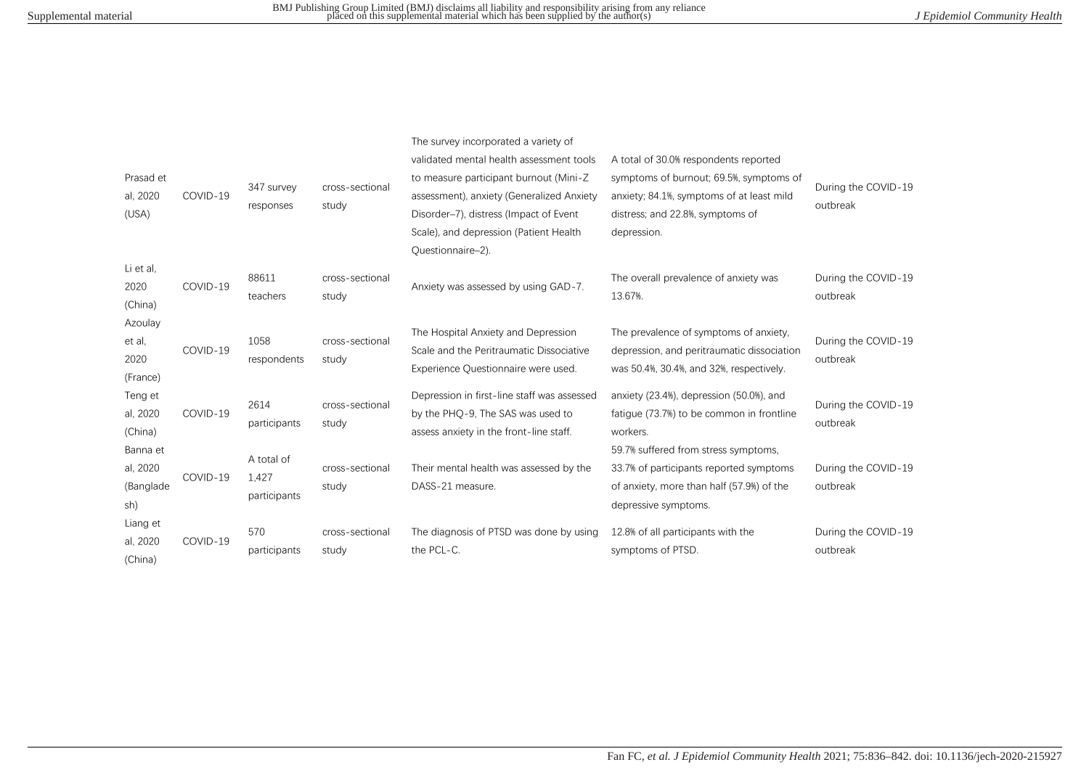| Prasad et<br>al, 2020<br>(USA)           | COVID-19 | 347 survey<br>responses             | cross-sectional<br>study | The survey incorporated a variety of<br>validated mental health assessment tools<br>to measure participant burnout (Mini-Z<br>assessment), anxiety (Generalized Anxiety<br>Disorder-7), distress (Impact of Event<br>Scale), and depression (Patient Health<br>Ouestionnaire-2). | A total of 30.0% respondents reported<br>symptoms of burnout; 69.5%, symptoms of<br>anxiety; 84.1%, symptoms of at least mild<br>distress; and 22.8%, symptoms of<br>depression. | During the COVID-19<br>outbreak |
|------------------------------------------|----------|-------------------------------------|--------------------------|----------------------------------------------------------------------------------------------------------------------------------------------------------------------------------------------------------------------------------------------------------------------------------|----------------------------------------------------------------------------------------------------------------------------------------------------------------------------------|---------------------------------|
| Li et al,<br>2020<br>(China)             | COVID-19 | 88611<br>teachers                   | cross-sectional<br>study | Anxiety was assessed by using GAD-7.                                                                                                                                                                                                                                             | The overall prevalence of anxiety was<br>13.67%.                                                                                                                                 | During the COVID-19<br>outbreak |
| Azoulay<br>et al,<br>2020<br>(France)    | COVID-19 | 1058<br>respondents                 | cross-sectional<br>study | The Hospital Anxiety and Depression<br>Scale and the Peritraumatic Dissociative<br>Experience Questionnaire were used.                                                                                                                                                           | The prevalence of symptoms of anxiety,<br>depression, and peritraumatic dissociation<br>was 50.4%, 30.4%, and 32%, respectively.                                                 | During the COVID-19<br>outbreak |
| Teng et<br>al, 2020<br>(China)           | COVID-19 | 2614<br>participants                | cross-sectional<br>study | Depression in first-line staff was assessed<br>by the PHO-9. The SAS was used to<br>assess anxiety in the front-line staff.                                                                                                                                                      | anxiety (23.4%), depression (50.0%), and<br>fatigue (73.7%) to be common in frontline<br>workers.                                                                                | During the COVID-19<br>outbreak |
| Banna et<br>al, 2020<br>(Banglade<br>sh) | COVID-19 | A total of<br>1,427<br>participants | cross-sectional<br>study | Their mental health was assessed by the<br>DASS-21 measure.                                                                                                                                                                                                                      | 59.7% suffered from stress symptoms,<br>33.7% of participants reported symptoms<br>of anxiety, more than half (57.9%) of the<br>depressive symptoms.                             | During the COVID-19<br>outbreak |
| Liang et<br>al, 2020<br>(China)          | COVID-19 | 570<br>participants                 | cross-sectional<br>study | The diagnosis of PTSD was done by using<br>the PCL-C.                                                                                                                                                                                                                            | 12.8% of all participants with the<br>symptoms of PTSD.                                                                                                                          | During the COVID-19<br>outbreak |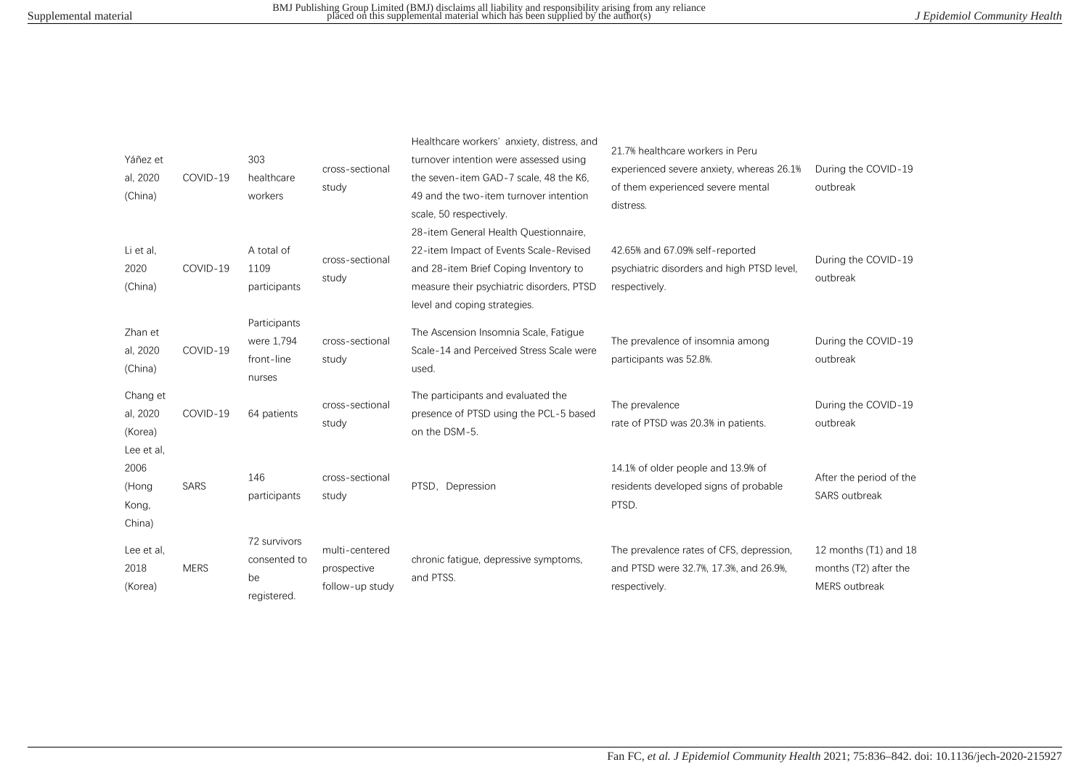| Yáñez et<br>al, 2020<br>(China)                | COVID-19    | 303<br>healthcare<br>workers                       | cross-sectional<br>study                         | Healthcare workers' anxiety, distress, and<br>turnover intention were assessed using<br>the seven-item GAD-7 scale, 48 the K6,<br>49 and the two-item turnover intention<br>scale, 50 respectively.   | 21.7% healthcare workers in Peru<br>experienced severe anxiety, whereas 26.1%<br>of them experienced severe mental<br>distress. | During the COVID-19<br>outbreak                                 |
|------------------------------------------------|-------------|----------------------------------------------------|--------------------------------------------------|-------------------------------------------------------------------------------------------------------------------------------------------------------------------------------------------------------|---------------------------------------------------------------------------------------------------------------------------------|-----------------------------------------------------------------|
| Li et al.<br>2020<br>(China)                   | COVID-19    | A total of<br>1109<br>participants                 | cross-sectional<br>study                         | 28-item General Health Questionnaire,<br>22-item Impact of Events Scale-Revised<br>and 28-item Brief Coping Inventory to<br>measure their psychiatric disorders, PTSD<br>level and coping strategies. | 42.65% and 67.09% self-reported<br>psychiatric disorders and high PTSD level.<br>respectively.                                  | During the COVID-19<br>outbreak                                 |
| Zhan et<br>al, 2020<br>(China)                 | COVID-19    | Participants<br>were 1,794<br>front-line<br>nurses | cross-sectional<br>study                         | The Ascension Insomnia Scale, Fatigue<br>Scale-14 and Perceived Stress Scale were<br>used.                                                                                                            | The prevalence of insomnia among<br>participants was 52.8%.                                                                     | During the COVID-19<br>outbreak                                 |
| Chang et<br>al, 2020<br>(Korea)                | COVID-19    | 64 patients                                        | cross-sectional<br>study                         | The participants and evaluated the<br>presence of PTSD using the PCL-5 based<br>on the DSM-5.                                                                                                         | The prevalence<br>rate of PTSD was 20.3% in patients.                                                                           | During the COVID-19<br>outbreak                                 |
| Lee et al,<br>2006<br>(Hong<br>Kong,<br>China) | <b>SARS</b> | 146<br>participants                                | cross-sectional<br>study                         | PTSD, Depression                                                                                                                                                                                      | 14.1% of older people and 13.9% of<br>residents developed signs of probable<br>PTSD.                                            | After the period of the<br><b>SARS</b> outbreak                 |
| Lee et al.<br>2018<br>(Korea)                  | <b>MERS</b> | 72 survivors<br>consented to<br>be<br>registered.  | multi-centered<br>prospective<br>follow-up study | chronic fatigue, depressive symptoms,<br>and PTSS.                                                                                                                                                    | The prevalence rates of CFS, depression,<br>and PTSD were 32.7%, 17.3%, and 26.9%,<br>respectively.                             | 12 months (T1) and 18<br>months (T2) after the<br>MERS outbreak |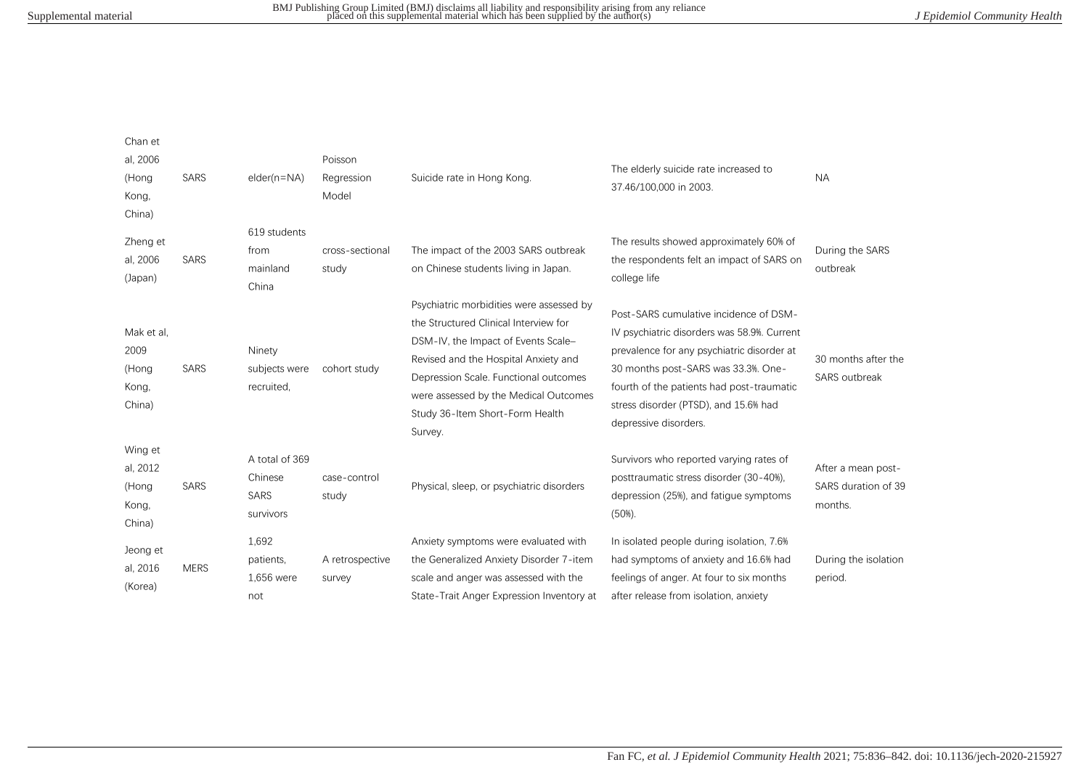| Chan et<br>al, 2006<br>(Hong<br>Kong,<br>China) | <b>SARS</b> | elder(n=NA)                                    | Poisson<br>Regression<br>Model | Suicide rate in Hong Kong.                                                                                                                                                                                                                                                                       | The elderly suicide rate increased to<br>37.46/100,000 in 2003.                                                                                                                                                                                                                           | <b>NA</b>                                            |
|-------------------------------------------------|-------------|------------------------------------------------|--------------------------------|--------------------------------------------------------------------------------------------------------------------------------------------------------------------------------------------------------------------------------------------------------------------------------------------------|-------------------------------------------------------------------------------------------------------------------------------------------------------------------------------------------------------------------------------------------------------------------------------------------|------------------------------------------------------|
| Zheng et<br>al, 2006<br>(Japan)                 | <b>SARS</b> | 619 students<br>from<br>mainland<br>China      | cross-sectional<br>study       | The impact of the 2003 SARS outbreak<br>on Chinese students living in Japan.                                                                                                                                                                                                                     | The results showed approximately 60% of<br>the respondents felt an impact of SARS on<br>college life                                                                                                                                                                                      | During the SARS<br>outbreak                          |
| Mak et al.<br>2009<br>(Hong<br>Kong,<br>China)  | SARS        | Ninety<br>subjects were<br>recruited,          | cohort study                   | Psychiatric morbidities were assessed by<br>the Structured Clinical Interview for<br>DSM-IV, the Impact of Events Scale-<br>Revised and the Hospital Anxiety and<br>Depression Scale. Functional outcomes<br>were assessed by the Medical Outcomes<br>Study 36-Item Short-Form Health<br>Survey. | Post-SARS cumulative incidence of DSM-<br>IV psychiatric disorders was 58.9%. Current<br>prevalence for any psychiatric disorder at<br>30 months post-SARS was 33.3%. One-<br>fourth of the patients had post-traumatic<br>stress disorder (PTSD), and 15.6% had<br>depressive disorders. | 30 months after the<br>SARS outbreak                 |
| Wing et<br>al, 2012<br>(Hong<br>Kong,<br>China) | <b>SARS</b> | A total of 369<br>Chinese<br>SARS<br>survivors | case-control<br>study          | Physical, sleep, or psychiatric disorders                                                                                                                                                                                                                                                        | Survivors who reported varying rates of<br>posttraumatic stress disorder (30-40%),<br>depression (25%), and fatigue symptoms<br>(50%).                                                                                                                                                    | After a mean post-<br>SARS duration of 39<br>months. |
| Jeong et<br>al, 2016<br>(Korea)                 | <b>MERS</b> | 1,692<br>patients.<br>1,656 were<br>not        | A retrospective<br>survey      | Anxiety symptoms were evaluated with<br>the Generalized Anxiety Disorder 7-item<br>scale and anger was assessed with the<br>State-Trait Anger Expression Inventory at                                                                                                                            | In isolated people during isolation, 7.6%<br>had symptoms of anxiety and 16.6% had<br>feelings of anger. At four to six months<br>after release from isolation, anxiety                                                                                                                   | During the isolation<br>period.                      |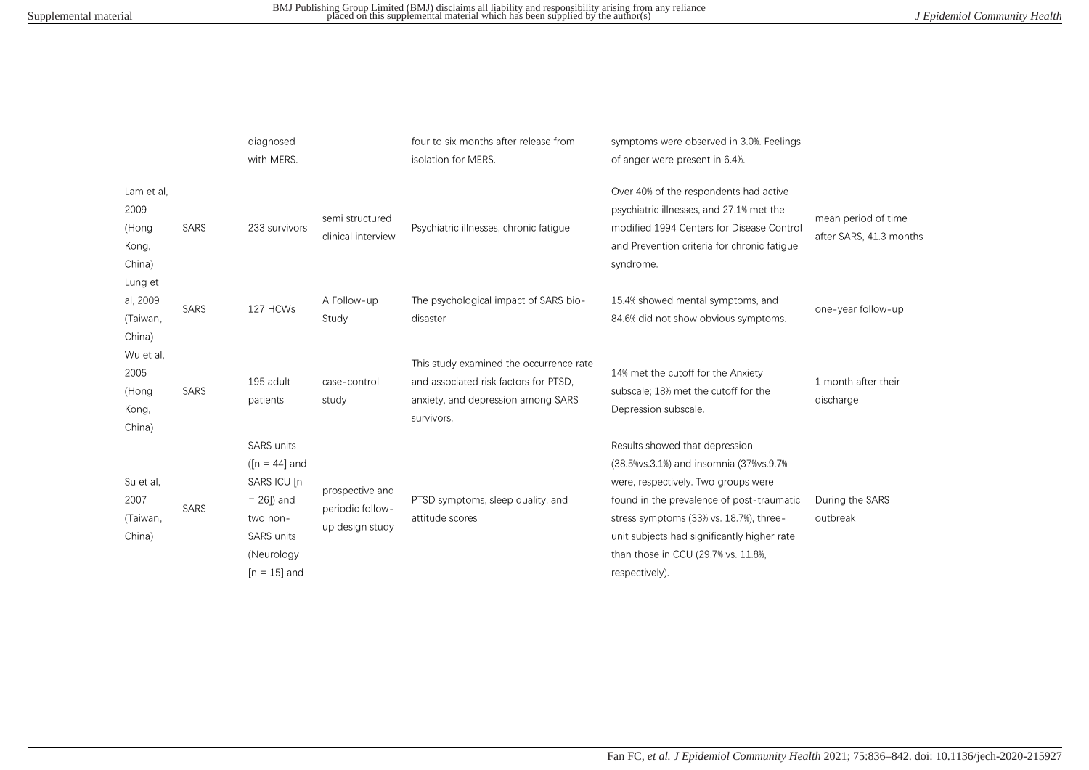|                                                |             | diagnosed<br>with MERS.                                                                                                         |                                                        | four to six months after release from<br>isolation for MERS.                                                                         | symptoms were observed in 3.0%. Feelings<br>of anger were present in 6.4%.                                                                                                                                                                                                                                            |                                                |
|------------------------------------------------|-------------|---------------------------------------------------------------------------------------------------------------------------------|--------------------------------------------------------|--------------------------------------------------------------------------------------------------------------------------------------|-----------------------------------------------------------------------------------------------------------------------------------------------------------------------------------------------------------------------------------------------------------------------------------------------------------------------|------------------------------------------------|
| Lam et al.<br>2009<br>(Hong<br>Kong,<br>China) | <b>SARS</b> | 233 survivors                                                                                                                   | semi structured<br>clinical interview                  | Psychiatric illnesses, chronic fatigue                                                                                               | Over 40% of the respondents had active<br>psychiatric illnesses, and 27.1% met the<br>modified 1994 Centers for Disease Control<br>and Prevention criteria for chronic fatigue<br>syndrome.                                                                                                                           | mean period of time<br>after SARS, 41.3 months |
| Lung et<br>al, 2009<br>(Taiwan,<br>China)      | <b>SARS</b> | 127 HCWs                                                                                                                        | A Follow-up<br>Study                                   | The psychological impact of SARS bio-<br>disaster                                                                                    | 15.4% showed mental symptoms, and<br>84.6% did not show obvious symptoms.                                                                                                                                                                                                                                             | one-year follow-up                             |
| Wu et al,<br>2005<br>(Hong<br>Kong,<br>China)  | <b>SARS</b> | 195 adult<br>patients                                                                                                           | case-control<br>study                                  | This study examined the occurrence rate<br>and associated risk factors for PTSD.<br>anxiety, and depression among SARS<br>survivors. | 14% met the cutoff for the Anxiety<br>subscale: 18% met the cutoff for the<br>Depression subscale.                                                                                                                                                                                                                    | 1 month after their<br>discharge               |
| Su et al,<br>2007<br>(Taiwan,<br>China)        | <b>SARS</b> | <b>SARS</b> units<br>( $[n = 44]$ and<br>SARS ICU [n<br>$= 26$ ]) and<br>two non-<br>SARS units<br>(Neurology<br>$[n = 15]$ and | prospective and<br>periodic follow-<br>up design study | PTSD symptoms, sleep quality, and<br>attitude scores                                                                                 | Results showed that depression<br>(38.5% vs. 3.1%) and insomnia (37% vs. 9.7%)<br>were, respectively. Two groups were<br>found in the prevalence of post-traumatic<br>stress symptoms (33% vs. 18.7%), three-<br>unit subjects had significantly higher rate<br>than those in CCU (29.7% vs. 11.8%,<br>respectively). | During the SARS<br>outbreak                    |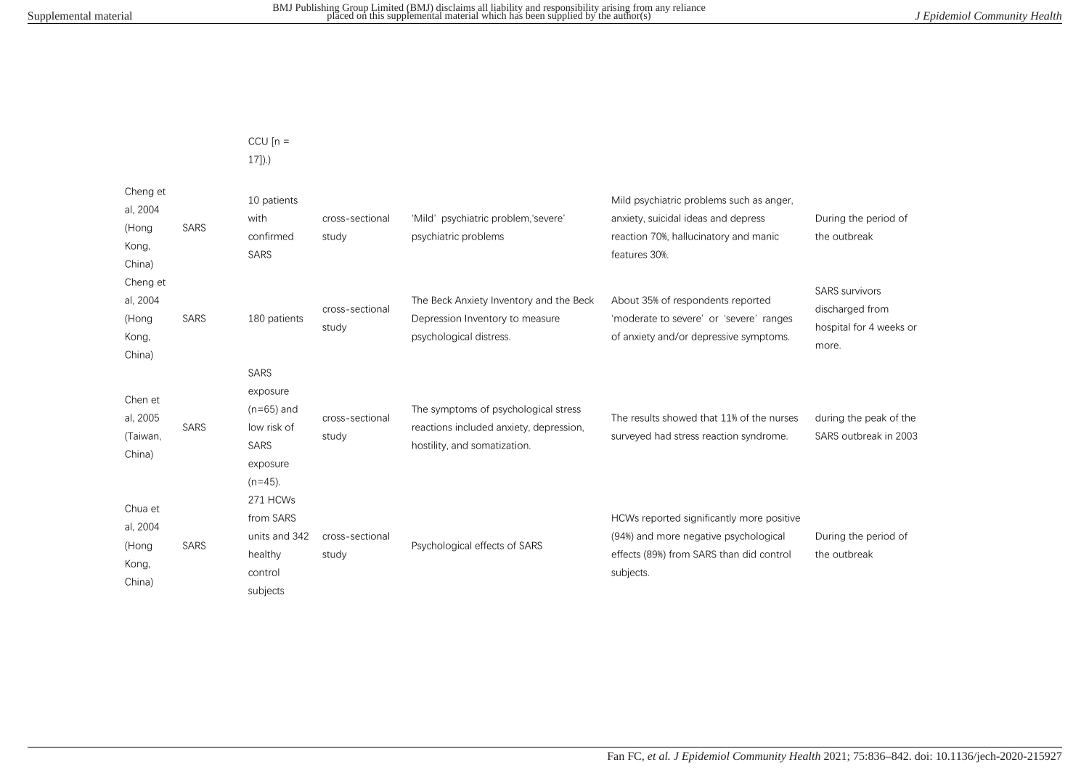CCU  $[n =$ 

17]).)

| Cheng et<br>al, 2004<br>(Hong<br>Kong,<br>China) | <b>SARS</b> | 10 patients<br>with<br>confirmed<br>SARS                                                 | cross-sectional<br>study | 'Mild' psychiatric problem,'severe'<br>psychiatric problems                                                     | Mild psychiatric problems such as anger,<br>anxiety, suicidal ideas and depress<br>reaction 70%, hallucinatory and manic<br>features 30%.   | During the period of<br>the outbreak                                         |
|--------------------------------------------------|-------------|------------------------------------------------------------------------------------------|--------------------------|-----------------------------------------------------------------------------------------------------------------|---------------------------------------------------------------------------------------------------------------------------------------------|------------------------------------------------------------------------------|
| Cheng et<br>al, 2004<br>(Hong<br>Kong,<br>China) | <b>SARS</b> | 180 patients                                                                             | cross-sectional<br>study | The Beck Anxiety Inventory and the Beck<br>Depression Inventory to measure<br>psychological distress.           | About 35% of respondents reported<br>'moderate to severe' or 'severe' ranges<br>of anxiety and/or depressive symptoms.                      | <b>SARS</b> survivors<br>discharged from<br>hospital for 4 weeks or<br>more. |
| Chen et<br>al, 2005<br>(Taiwan,<br>China)        | <b>SARS</b> | SARS<br>exposure<br>$(n=65)$ and<br>low risk of<br><b>SARS</b><br>exposure<br>$(n=45)$ . | cross-sectional<br>study | The symptoms of psychological stress<br>reactions included anxiety, depression,<br>hostility, and somatization. | The results showed that 11% of the nurses<br>surveyed had stress reaction syndrome.                                                         | during the peak of the<br>SARS outbreak in 2003                              |
| Chua et<br>al, 2004<br>(Hong<br>Kong,<br>China)  | SARS        | 271 HCWs<br>from SARS<br>units and 342<br>healthy<br>control<br>subjects                 | cross-sectional<br>study | Psychological effects of SARS                                                                                   | HCWs reported significantly more positive<br>(94%) and more negative psychological<br>effects (89%) from SARS than did control<br>subjects. | During the period of<br>the outbreak                                         |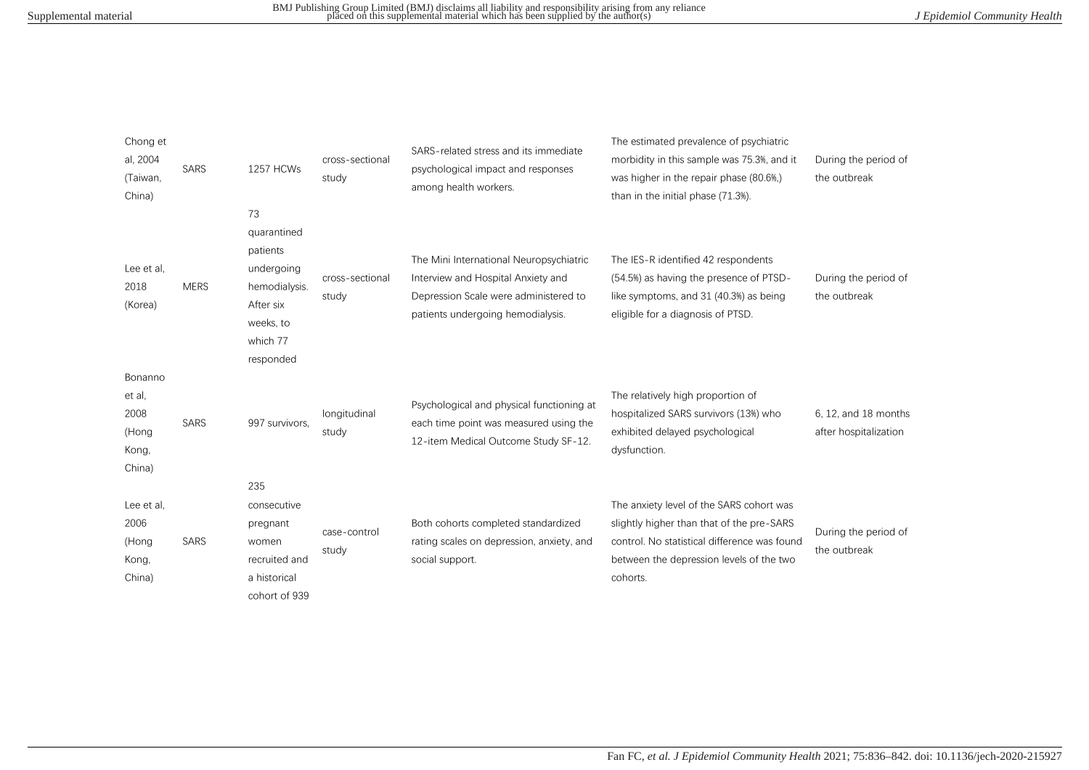| Chong et<br>al, 2004<br>(Taiwan,<br>China)            | <b>SARS</b> | 1257 HCWs                                                                                                       | cross-sectional<br>study | SARS-related stress and its immediate<br>psychological impact and responses<br>among health workers.                                                        | The estimated prevalence of psychiatric<br>morbidity in this sample was 75.3%, and it<br>was higher in the repair phase (80.6%)<br>than in the initial phase (71.3%).                         | During the period of<br>the outbreak          |
|-------------------------------------------------------|-------------|-----------------------------------------------------------------------------------------------------------------|--------------------------|-------------------------------------------------------------------------------------------------------------------------------------------------------------|-----------------------------------------------------------------------------------------------------------------------------------------------------------------------------------------------|-----------------------------------------------|
| Lee et al,<br>2018<br>(Korea)                         | <b>MERS</b> | 73<br>quarantined<br>patients<br>undergoing<br>hemodialysis.<br>After six<br>weeks, to<br>which 77<br>responded | cross-sectional<br>study | The Mini International Neuropsychiatric<br>Interview and Hospital Anxiety and<br>Depression Scale were administered to<br>patients undergoing hemodialysis. | The IES-R identified 42 respondents<br>(54.5%) as having the presence of PTSD-<br>like symptoms, and 31 (40.3%) as being<br>eligible for a diagnosis of PTSD.                                 | During the period of<br>the outbreak          |
| Bonanno<br>et al,<br>2008<br>(Hong<br>Kong,<br>China) | <b>SARS</b> | 997 survivors,                                                                                                  | longitudinal<br>study    | Psychological and physical functioning at<br>each time point was measured using the<br>12-item Medical Outcome Study SF-12.                                 | The relatively high proportion of<br>hospitalized SARS survivors (13%) who<br>exhibited delayed psychological<br>dysfunction.                                                                 | 6, 12, and 18 months<br>after hospitalization |
| Lee et al.<br>2006<br>(Hong<br>Kong,<br>China)        | SARS        | 235<br>consecutive<br>pregnant<br>women<br>recruited and<br>a historical<br>cohort of 939                       | case-control<br>study    | Both cohorts completed standardized<br>rating scales on depression, anxiety, and<br>social support.                                                         | The anxiety level of the SARS cohort was<br>slightly higher than that of the pre-SARS<br>control. No statistical difference was found<br>between the depression levels of the two<br>cohorts. | During the period of<br>the outbreak          |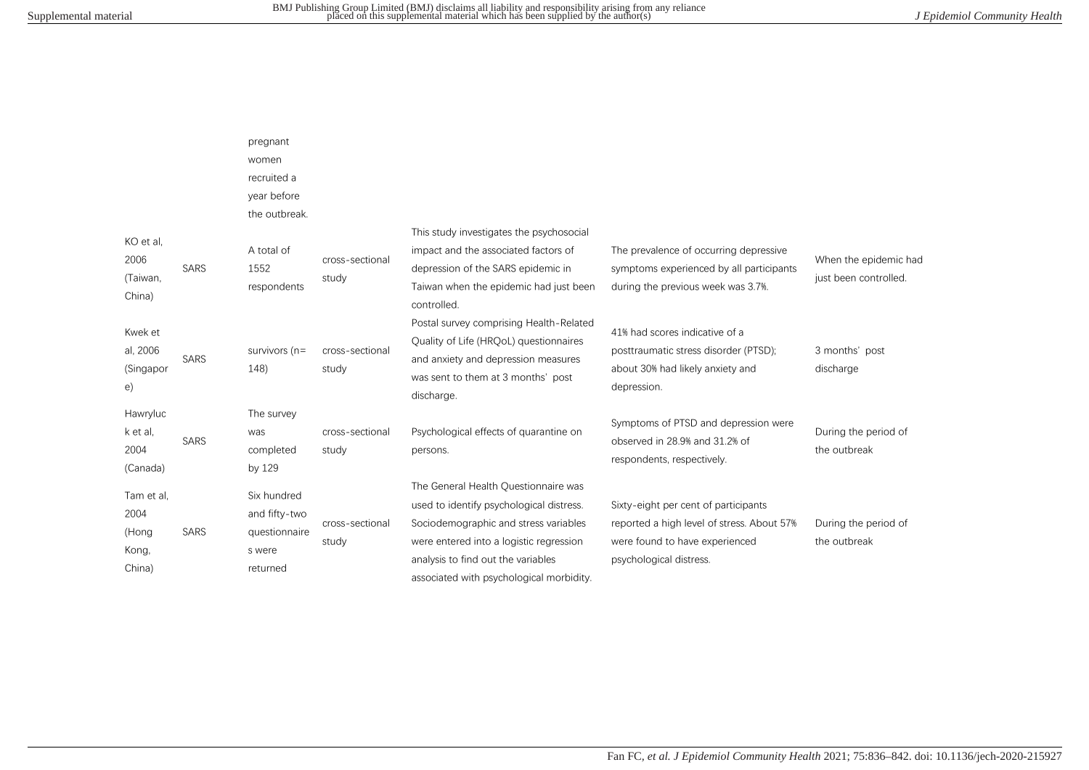|                                                |             | pregnant<br>women<br>recruited a<br>year before<br>the outbreak.    |                          |                                                                                                                                                                                                                                                        |                                                                                                                                                 |                                                |
|------------------------------------------------|-------------|---------------------------------------------------------------------|--------------------------|--------------------------------------------------------------------------------------------------------------------------------------------------------------------------------------------------------------------------------------------------------|-------------------------------------------------------------------------------------------------------------------------------------------------|------------------------------------------------|
| KO et al.<br>2006<br>(Taiwan,<br>China)        | <b>SARS</b> | A total of<br>1552<br>respondents                                   | cross-sectional<br>study | This study investigates the psychosocial<br>impact and the associated factors of<br>depression of the SARS epidemic in<br>Taiwan when the epidemic had just been<br>controlled.                                                                        | The prevalence of occurring depressive<br>symptoms experienced by all participants<br>during the previous week was 3.7%.                        | When the epidemic had<br>just been controlled. |
| Kwek et<br>al, 2006<br>(Singapor<br>e)         | <b>SARS</b> | survivors $(n=$<br>148)                                             | cross-sectional<br>study | Postal survey comprising Health-Related<br>Quality of Life (HRQoL) questionnaires<br>and anxiety and depression measures<br>was sent to them at 3 months' post<br>discharge.                                                                           | 41% had scores indicative of a<br>posttraumatic stress disorder (PTSD);<br>about 30% had likely anxiety and<br>depression.                      | 3 months' post<br>discharge                    |
| Hawryluc<br>k et al.<br>2004<br>(Canada)       | <b>SARS</b> | The survey<br>was<br>completed<br>by 129                            | cross-sectional<br>study | Psychological effects of quarantine on<br>persons.                                                                                                                                                                                                     | Symptoms of PTSD and depression were<br>observed in 28.9% and 31.2% of<br>respondents, respectively.                                            | During the period of<br>the outbreak           |
| Tam et al.<br>2004<br>(Hong<br>Kong,<br>China) | SARS        | Six hundred<br>and fifty-two<br>questionnaire<br>s were<br>returned | cross-sectional<br>study | The General Health Ouestionnaire was<br>used to identify psychological distress.<br>Sociodemographic and stress variables<br>were entered into a logistic regression<br>analysis to find out the variables<br>associated with psychological morbidity. | Sixty-eight per cent of participants<br>reported a high level of stress. About 57%<br>were found to have experienced<br>psychological distress. | During the period of<br>the outbreak           |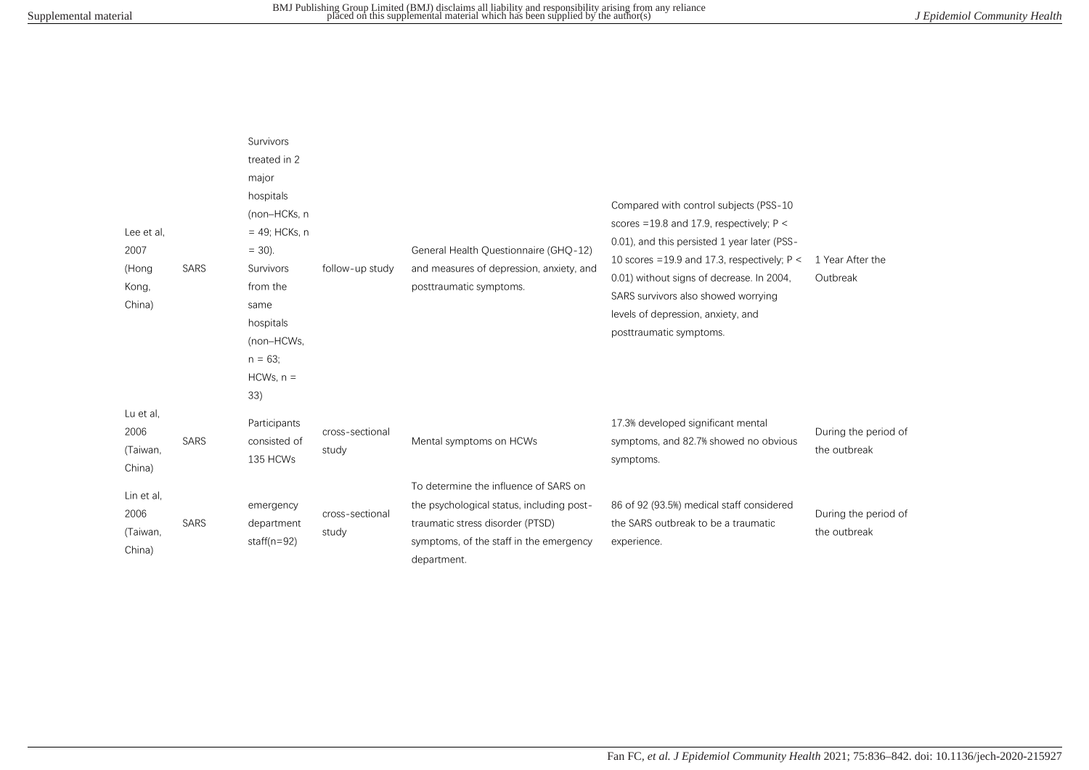| Lee et al.<br>2007<br>(Hong<br>Kong,<br>China) | <b>SARS</b> | Survivors<br>treated in 2<br>major<br>hospitals<br>(non-HCKs, n<br>$= 49$ ; HCKs, n<br>$= 30$ ).<br>Survivors<br>from the<br>same<br>hospitals<br>(non-HCWs,<br>$n = 63$<br>$HCWs, n =$ | follow-up study          | General Health Questionnaire (GHQ-12)<br>and measures of depression, anxiety, and<br>posttraumatic symptoms.                                                                     | Compared with control subjects (PSS-10<br>scores = 19.8 and 17.9, respectively; $P <$<br>0.01), and this persisted 1 year later (PSS-<br>10 scores = $19.9$ and 17.3, respectively; P <<br>0.01) without signs of decrease. In 2004,<br>SARS survivors also showed worrying<br>levels of depression, anxiety, and<br>posttraumatic symptoms. | 1 Year After the<br>Outbreak         |
|------------------------------------------------|-------------|-----------------------------------------------------------------------------------------------------------------------------------------------------------------------------------------|--------------------------|----------------------------------------------------------------------------------------------------------------------------------------------------------------------------------|----------------------------------------------------------------------------------------------------------------------------------------------------------------------------------------------------------------------------------------------------------------------------------------------------------------------------------------------|--------------------------------------|
| Lu et al,<br>2006<br>(Taiwan,<br>China)        | <b>SARS</b> | 33)<br>Participants<br>consisted of<br>135 HCWs                                                                                                                                         | cross-sectional<br>study | Mental symptoms on HCWs                                                                                                                                                          | 17.3% developed significant mental<br>symptoms, and 82.7% showed no obvious<br>symptoms.                                                                                                                                                                                                                                                     | During the period of<br>the outbreak |
| Lin et al,<br>2006<br>(Taiwan,<br>China)       | <b>SARS</b> | emergency<br>department<br>staff( $n=92$ )                                                                                                                                              | cross-sectional<br>study | To determine the influence of SARS on<br>the psychological status, including post-<br>traumatic stress disorder (PTSD)<br>symptoms, of the staff in the emergency<br>department. | 86 of 92 (93.5%) medical staff considered<br>the SARS outbreak to be a traumatic<br>experience.                                                                                                                                                                                                                                              | During the period of<br>the outbreak |